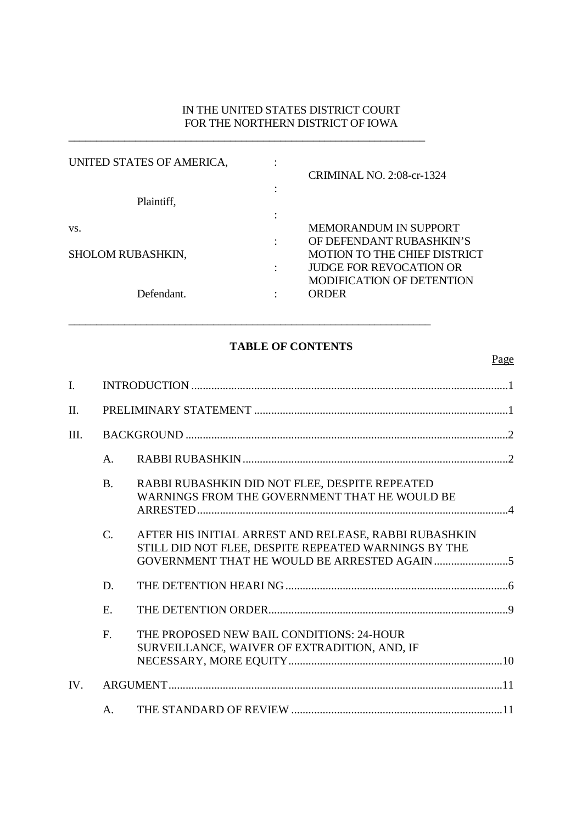# IN THE UNITED STATES DISTRICT COURT FOR THE NORTHERN DISTRICT OF IOWA

| UNITED STATES OF AMERICA, |                |                                     |
|---------------------------|----------------|-------------------------------------|
|                           |                | <b>CRIMINAL NO. 2:08-cr-1324</b>    |
|                           | ٠              |                                     |
| Plaintiff,                |                |                                     |
|                           |                |                                     |
| VS.                       |                | <b>MEMORANDUM IN SUPPORT</b>        |
|                           |                | OF DEFENDANT RUBASHKIN'S            |
| <b>SHOLOM RUBASHKIN,</b>  |                | <b>MOTION TO THE CHIEF DISTRICT</b> |
|                           | $\ddot{\cdot}$ | <b>JUDGE FOR REVOCATION OR</b>      |
|                           |                | <b>MODIFICATION OF DETENTION</b>    |
| Defendant.                |                | ORDER                               |
|                           |                |                                     |

\_\_\_\_\_\_\_\_\_\_\_\_\_\_\_\_\_\_\_\_\_\_\_\_\_\_\_\_\_\_\_\_\_\_\_\_\_\_\_\_\_\_\_\_\_\_\_\_\_\_\_\_\_\_\_\_\_\_\_\_\_\_\_\_

 $\_$  , and the set of the set of the set of the set of the set of the set of the set of the set of the set of the set of the set of the set of the set of the set of the set of the set of the set of the set of the set of th

# **TABLE OF CONTENTS**

| I.   |                |                                                                                                               |  |  |  |  |  |
|------|----------------|---------------------------------------------------------------------------------------------------------------|--|--|--|--|--|
| II.  |                |                                                                                                               |  |  |  |  |  |
| III. |                |                                                                                                               |  |  |  |  |  |
|      | A.             |                                                                                                               |  |  |  |  |  |
|      | <b>B.</b>      | RABBI RUBASHKIN DID NOT FLEE, DESPITE REPEATED<br>WARNINGS FROM THE GOVERNMENT THAT HE WOULD BE               |  |  |  |  |  |
|      | C.             | AFTER HIS INITIAL ARREST AND RELEASE, RABBI RUBASHKIN<br>STILL DID NOT FLEE, DESPITE REPEATED WARNINGS BY THE |  |  |  |  |  |
|      | D.             |                                                                                                               |  |  |  |  |  |
|      | E.             |                                                                                                               |  |  |  |  |  |
|      | F.             | THE PROPOSED NEW BAIL CONDITIONS: 24-HOUR<br>SURVEILLANCE, WAIVER OF EXTRADITION, AND, IF                     |  |  |  |  |  |
| IV.  |                |                                                                                                               |  |  |  |  |  |
|      | A <sub>1</sub> |                                                                                                               |  |  |  |  |  |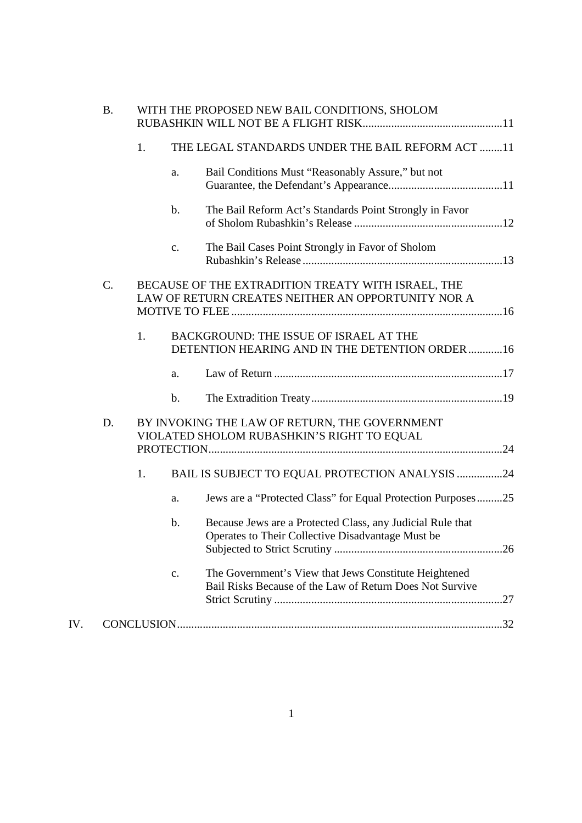|     | <b>B.</b> | WITH THE PROPOSED NEW BAIL CONDITIONS, SHOLOM |                |                                                                                                                   |  |  |
|-----|-----------|-----------------------------------------------|----------------|-------------------------------------------------------------------------------------------------------------------|--|--|
|     |           | 1.                                            |                | THE LEGAL STANDARDS UNDER THE BAIL REFORM ACT 11                                                                  |  |  |
|     |           |                                               | a.             | Bail Conditions Must "Reasonably Assure," but not                                                                 |  |  |
|     |           |                                               | $\mathbf b$ .  | The Bail Reform Act's Standards Point Strongly in Favor                                                           |  |  |
|     |           |                                               | C <sub>1</sub> | The Bail Cases Point Strongly in Favor of Sholom                                                                  |  |  |
|     | C.        |                                               |                | BECAUSE OF THE EXTRADITION TREATY WITH ISRAEL, THE<br>LAW OF RETURN CREATES NEITHER AN OPPORTUNITY NOR A          |  |  |
|     |           | 1.                                            |                | BACKGROUND: THE ISSUE OF ISRAEL AT THE<br>DETENTION HEARING AND IN THE DETENTION ORDER 16                         |  |  |
|     |           |                                               | a.             |                                                                                                                   |  |  |
|     |           |                                               | $\mathbf b$ .  |                                                                                                                   |  |  |
|     | D.        |                                               |                | BY INVOKING THE LAW OF RETURN, THE GOVERNMENT<br>VIOLATED SHOLOM RUBASHKIN'S RIGHT TO EQUAL                       |  |  |
|     |           | 1.                                            |                | BAIL IS SUBJECT TO EQUAL PROTECTION ANALYSIS 24                                                                   |  |  |
|     |           |                                               | a.             | Jews are a "Protected Class" for Equal Protection Purposes25                                                      |  |  |
|     |           |                                               | $\mathbf b$ .  | Because Jews are a Protected Class, any Judicial Rule that<br>Operates to Their Collective Disadvantage Must be   |  |  |
|     |           |                                               | $\mathbf{C}$ . | The Government's View that Jews Constitute Heightened<br>Bail Risks Because of the Law of Return Does Not Survive |  |  |
| IV. |           |                                               |                |                                                                                                                   |  |  |
|     |           |                                               |                |                                                                                                                   |  |  |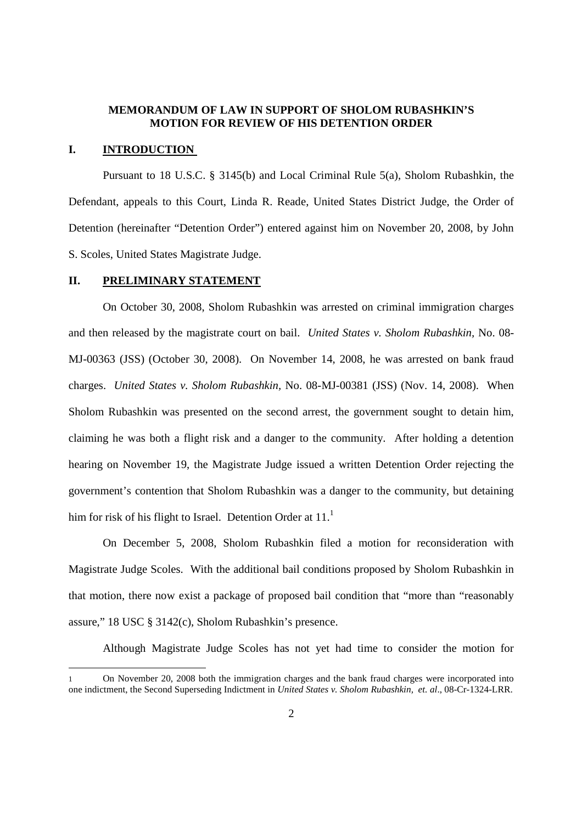### **MEMORANDUM OF LAW IN SUPPORT OF SHOLOM RUBASHKIN'S MOTION FOR REVIEW OF HIS DETENTION ORDER**

### **I. INTRODUCTION**

Pursuant to 18 U.S.C. § 3145(b) and Local Criminal Rule 5(a), Sholom Rubashkin, the Defendant, appeals to this Court, Linda R. Reade, United States District Judge, the Order of Detention (hereinafter "Detention Order") entered against him on November 20, 2008, by John S. Scoles, United States Magistrate Judge.

#### **II. PRELIMINARY STATEMENT**

On October 30, 2008, Sholom Rubashkin was arrested on criminal immigration charges and then released by the magistrate court on bail. *United States v. Sholom Rubashkin,* No. 08- MJ-00363 (JSS) (October 30, 2008). On November 14, 2008, he was arrested on bank fraud charges. *United States v. Sholom Rubashkin,* No. 08-MJ-00381 (JSS) (Nov. 14, 2008). When Sholom Rubashkin was presented on the second arrest, the government sought to detain him, claiming he was both a flight risk and a danger to the community. After holding a detention hearing on November 19, the Magistrate Judge issued a written Detention Order rejecting the government's contention that Sholom Rubashkin was a danger to the community, but detaining him for risk of his flight to Israel. Detention Order at  $11<sup>1</sup>$ 

On December 5, 2008, Sholom Rubashkin filed a motion for reconsideration with Magistrate Judge Scoles. With the additional bail conditions proposed by Sholom Rubashkin in that motion, there now exist a package of proposed bail condition that "more than "reasonably assure," 18 USC § 3142(c), Sholom Rubashkin's presence.

Although Magistrate Judge Scoles has not yet had time to consider the motion for

<sup>1</sup> On November 20, 2008 both the immigration charges and the bank fraud charges were incorporated into one indictment, the Second Superseding Indictment in *United States v. Sholom Rubashkin, et. al*., 08-Cr-1324-LRR.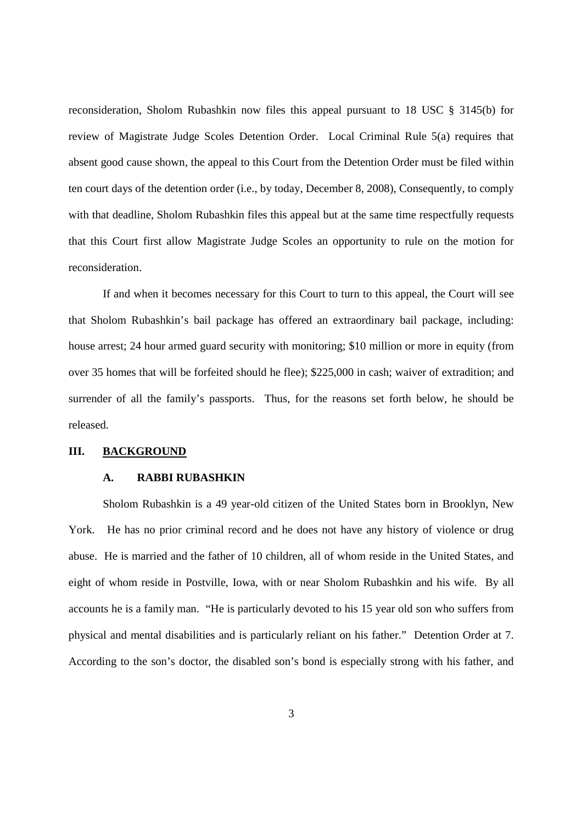reconsideration, Sholom Rubashkin now files this appeal pursuant to 18 USC § 3145(b) for review of Magistrate Judge Scoles Detention Order. Local Criminal Rule 5(a) requires that absent good cause shown, the appeal to this Court from the Detention Order must be filed within ten court days of the detention order (i.e., by today, December 8, 2008), Consequently, to comply with that deadline, Sholom Rubashkin files this appeal but at the same time respectfully requests that this Court first allow Magistrate Judge Scoles an opportunity to rule on the motion for reconsideration.

If and when it becomes necessary for this Court to turn to this appeal, the Court will see that Sholom Rubashkin's bail package has offered an extraordinary bail package, including: house arrest; 24 hour armed guard security with monitoring; \$10 million or more in equity (from over 35 homes that will be forfeited should he flee); \$225,000 in cash; waiver of extradition; and surrender of all the family's passports. Thus, for the reasons set forth below, he should be released.

### **III. BACKGROUND**

#### **A. RABBI RUBASHKIN**

Sholom Rubashkin is a 49 year-old citizen of the United States born in Brooklyn, New York. He has no prior criminal record and he does not have any history of violence or drug abuse. He is married and the father of 10 children, all of whom reside in the United States, and eight of whom reside in Postville, Iowa, with or near Sholom Rubashkin and his wife. By all accounts he is a family man. "He is particularly devoted to his 15 year old son who suffers from physical and mental disabilities and is particularly reliant on his father." Detention Order at 7. According to the son's doctor, the disabled son's bond is especially strong with his father, and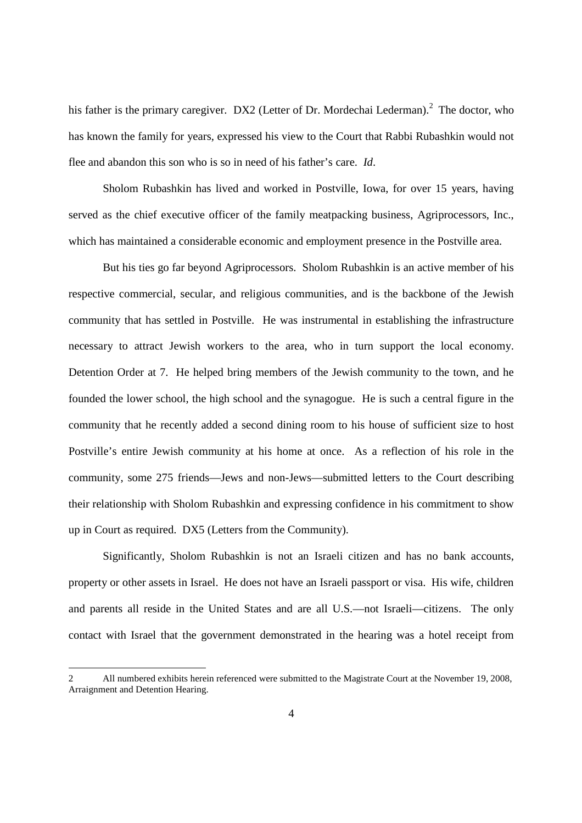his father is the primary caregiver. DX2 (Letter of Dr. Mordechai Lederman).<sup>2</sup> The doctor, who has known the family for years, expressed his view to the Court that Rabbi Rubashkin would not flee and abandon this son who is so in need of his father's care. *Id*.

Sholom Rubashkin has lived and worked in Postville, Iowa, for over 15 years, having served as the chief executive officer of the family meatpacking business, Agriprocessors, Inc., which has maintained a considerable economic and employment presence in the Postville area.

But his ties go far beyond Agriprocessors. Sholom Rubashkin is an active member of his respective commercial, secular, and religious communities, and is the backbone of the Jewish community that has settled in Postville. He was instrumental in establishing the infrastructure necessary to attract Jewish workers to the area, who in turn support the local economy. Detention Order at 7. He helped bring members of the Jewish community to the town, and he founded the lower school, the high school and the synagogue. He is such a central figure in the community that he recently added a second dining room to his house of sufficient size to host Postville's entire Jewish community at his home at once. As a reflection of his role in the community, some 275 friends—Jews and non-Jews—submitted letters to the Court describing their relationship with Sholom Rubashkin and expressing confidence in his commitment to show up in Court as required. DX5 (Letters from the Community).

Significantly, Sholom Rubashkin is not an Israeli citizen and has no bank accounts, property or other assets in Israel. He does not have an Israeli passport or visa. His wife, children and parents all reside in the United States and are all U.S.—not Israeli—citizens. The only contact with Israel that the government demonstrated in the hearing was a hotel receipt from

<sup>2</sup> All numbered exhibits herein referenced were submitted to the Magistrate Court at the November 19, 2008, Arraignment and Detention Hearing.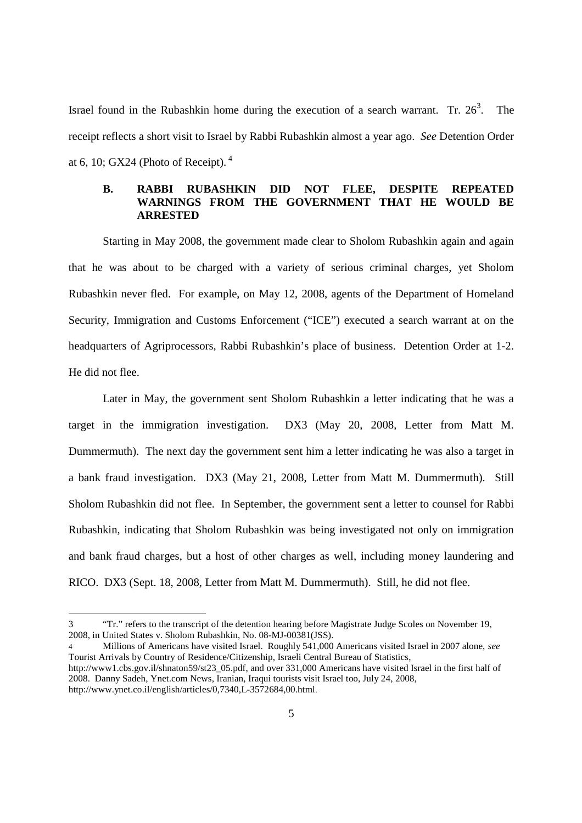Israel found in the Rubashkin home during the execution of a search warrant. Tr.  $26<sup>3</sup>$ . . The receipt reflects a short visit to Israel by Rabbi Rubashkin almost a year ago. *See* Detention Order at 6, 10; GX24 (Photo of Receipt).  $4\overline{ }$ 

## **B. RABBI RUBASHKIN DID NOT FLEE, DESPITE REPEATED WARNINGS FROM THE GOVERNMENT THAT HE WOULD BE ARRESTED**

Starting in May 2008, the government made clear to Sholom Rubashkin again and again that he was about to be charged with a variety of serious criminal charges, yet Sholom Rubashkin never fled. For example, on May 12, 2008, agents of the Department of Homeland Security, Immigration and Customs Enforcement ("ICE") executed a search warrant at on the headquarters of Agriprocessors, Rabbi Rubashkin's place of business. Detention Order at 1-2. He did not flee.

Later in May, the government sent Sholom Rubashkin a letter indicating that he was a target in the immigration investigation. DX3 (May 20, 2008, Letter from Matt M. Dummermuth). The next day the government sent him a letter indicating he was also a target in a bank fraud investigation. DX3 (May 21, 2008, Letter from Matt M. Dummermuth). Still Sholom Rubashkin did not flee. In September, the government sent a letter to counsel for Rabbi Rubashkin, indicating that Sholom Rubashkin was being investigated not only on immigration and bank fraud charges, but a host of other charges as well, including money laundering and RICO. DX3 (Sept. 18, 2008, Letter from Matt M. Dummermuth). Still, he did not flee.

<sup>3 &</sup>quot;Tr." refers to the transcript of the detention hearing before Magistrate Judge Scoles on November 19, 2008, in United States v. Sholom Rubashkin, No. 08-MJ-00381(JSS).

<sup>4</sup> Millions of Americans have visited Israel. Roughly 541,000 Americans visited Israel in 2007 alone, *see* Tourist Arrivals by Country of Residence/Citizenship, Israeli Central Bureau of Statistics, http://www1.cbs.gov.il/shnaton59/st23\_05.pdf, and over 331,000 Americans have visited Israel in the first half of 2008. Danny Sadeh, Ynet.com News, Iranian, Iraqui tourists visit Israel too, July 24, 2008, http://www.ynet.co.il/english/articles/0,7340,L-3572684,00.html.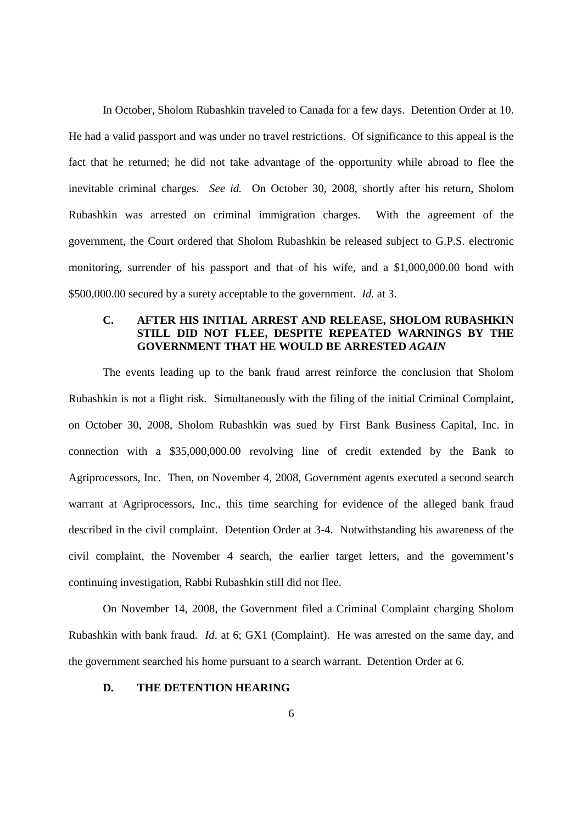In October, Sholom Rubashkin traveled to Canada for a few days. Detention Order at 10. He had a valid passport and was under no travel restrictions. Of significance to this appeal is the fact that he returned; he did not take advantage of the opportunity while abroad to flee the inevitable criminal charges. *See id.* On October 30, 2008, shortly after his return, Sholom Rubashkin was arrested on criminal immigration charges. With the agreement of the government, the Court ordered that Sholom Rubashkin be released subject to G.P.S. electronic monitoring, surrender of his passport and that of his wife, and a \$1,000,000.00 bond with \$500,000.00 secured by a surety acceptable to the government. *Id.* at 3.

## **C. AFTER HIS INITIAL ARREST AND RELEASE, SHOLOM RUBASHKIN STILL DID NOT FLEE, DESPITE REPEATED WARNINGS BY THE GOVERNMENT THAT HE WOULD BE ARRESTED** *AGAIN*

The events leading up to the bank fraud arrest reinforce the conclusion that Sholom Rubashkin is not a flight risk. Simultaneously with the filing of the initial Criminal Complaint, on October 30, 2008, Sholom Rubashkin was sued by First Bank Business Capital, Inc. in connection with a \$35,000,000.00 revolving line of credit extended by the Bank to Agriprocessors, Inc. Then, on November 4, 2008, Government agents executed a second search warrant at Agriprocessors, Inc., this time searching for evidence of the alleged bank fraud described in the civil complaint. Detention Order at 3-4. Notwithstanding his awareness of the civil complaint, the November 4 search, the earlier target letters, and the government's continuing investigation, Rabbi Rubashkin still did not flee.

On November 14, 2008, the Government filed a Criminal Complaint charging Sholom Rubashkin with bank fraud. *Id*. at 6; GX1 (Complaint). He was arrested on the same day, and the government searched his home pursuant to a search warrant. Detention Order at 6.

#### **D. THE DETENTION HEARING**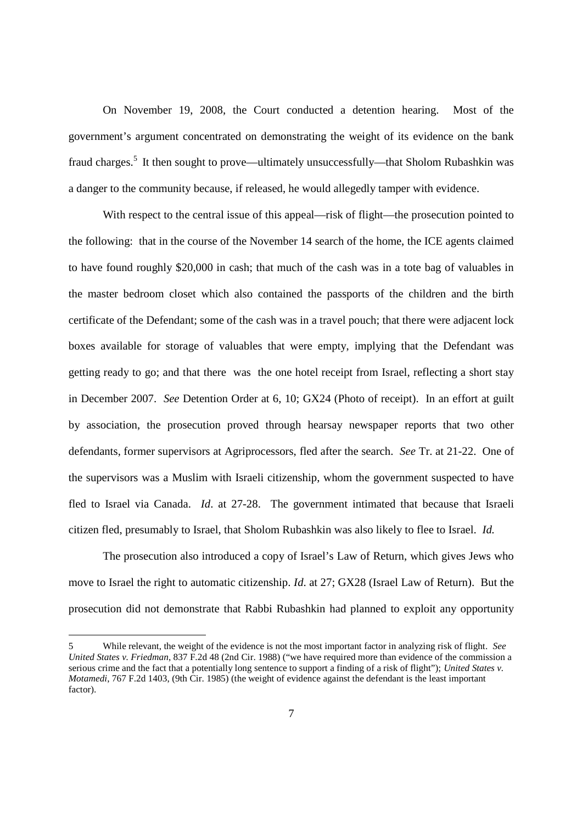On November 19, 2008, the Court conducted a detention hearing. Most of the government's argument concentrated on demonstrating the weight of its evidence on the bank fraud charges.<sup>5</sup> It then sought to prove—ultimately unsuccessfully—that Sholom Rubashkin was a danger to the community because, if released, he would allegedly tamper with evidence.

With respect to the central issue of this appeal—risk of flight—the prosecution pointed to the following: that in the course of the November 14 search of the home, the ICE agents claimed to have found roughly \$20,000 in cash; that much of the cash was in a tote bag of valuables in the master bedroom closet which also contained the passports of the children and the birth certificate of the Defendant; some of the cash was in a travel pouch; that there were adjacent lock boxes available for storage of valuables that were empty, implying that the Defendant was getting ready to go; and that there was the one hotel receipt from Israel, reflecting a short stay in December 2007. *See* Detention Order at 6, 10; GX24 (Photo of receipt). In an effort at guilt by association, the prosecution proved through hearsay newspaper reports that two other defendants, former supervisors at Agriprocessors, fled after the search. *See* Tr. at 21-22. One of the supervisors was a Muslim with Israeli citizenship, whom the government suspected to have fled to Israel via Canada. *Id*. at 27-28. The government intimated that because that Israeli citizen fled, presumably to Israel, that Sholom Rubashkin was also likely to flee to Israel. *Id.*

The prosecution also introduced a copy of Israel's Law of Return, which gives Jews who move to Israel the right to automatic citizenship. *Id*. at 27; GX28 (Israel Law of Return). But the prosecution did not demonstrate that Rabbi Rubashkin had planned to exploit any opportunity

<sup>5</sup> While relevant, the weight of the evidence is not the most important factor in analyzing risk of flight. *See United States v. Friedman*, 837 F.2d 48 (2nd Cir. 1988) ("we have required more than evidence of the commission a serious crime and the fact that a potentially long sentence to support a finding of a risk of flight"); *United States v. Motamedi*, 767 F.2d 1403, (9th Cir. 1985) (the weight of evidence against the defendant is the least important factor).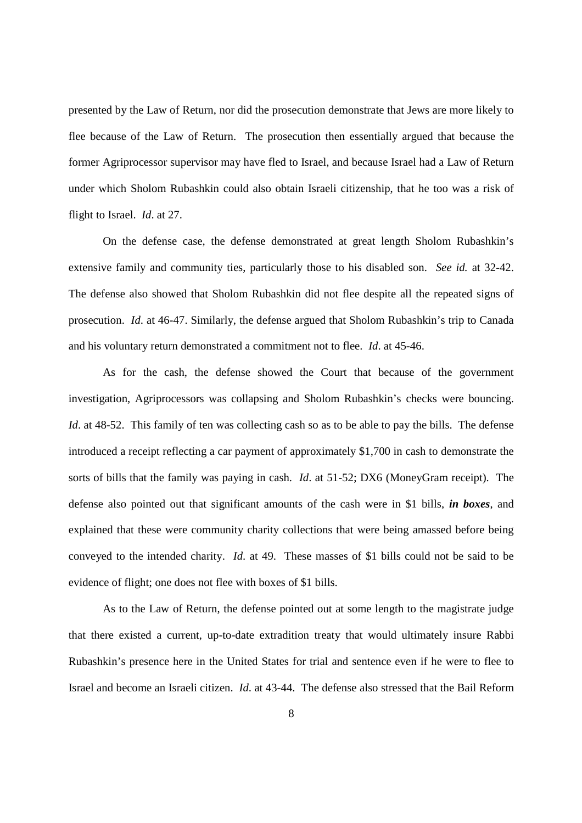presented by the Law of Return, nor did the prosecution demonstrate that Jews are more likely to flee because of the Law of Return. The prosecution then essentially argued that because the former Agriprocessor supervisor may have fled to Israel, and because Israel had a Law of Return under which Sholom Rubashkin could also obtain Israeli citizenship, that he too was a risk of flight to Israel. *Id*. at 27.

On the defense case, the defense demonstrated at great length Sholom Rubashkin's extensive family and community ties, particularly those to his disabled son. *See id.* at 32-42. The defense also showed that Sholom Rubashkin did not flee despite all the repeated signs of prosecution. *Id*. at 46-47. Similarly, the defense argued that Sholom Rubashkin's trip to Canada and his voluntary return demonstrated a commitment not to flee. *Id*. at 45-46.

As for the cash, the defense showed the Court that because of the government investigation, Agriprocessors was collapsing and Sholom Rubashkin's checks were bouncing. *Id.* at 48-52. This family of ten was collecting cash so as to be able to pay the bills. The defense introduced a receipt reflecting a car payment of approximately \$1,700 in cash to demonstrate the sorts of bills that the family was paying in cash. *Id*. at 51-52; DX6 (MoneyGram receipt). The defense also pointed out that significant amounts of the cash were in \$1 bills, *in boxes*, and explained that these were community charity collections that were being amassed before being conveyed to the intended charity. *Id*. at 49. These masses of \$1 bills could not be said to be evidence of flight; one does not flee with boxes of \$1 bills.

As to the Law of Return, the defense pointed out at some length to the magistrate judge that there existed a current, up-to-date extradition treaty that would ultimately insure Rabbi Rubashkin's presence here in the United States for trial and sentence even if he were to flee to Israel and become an Israeli citizen. *Id*. at 43-44. The defense also stressed that the Bail Reform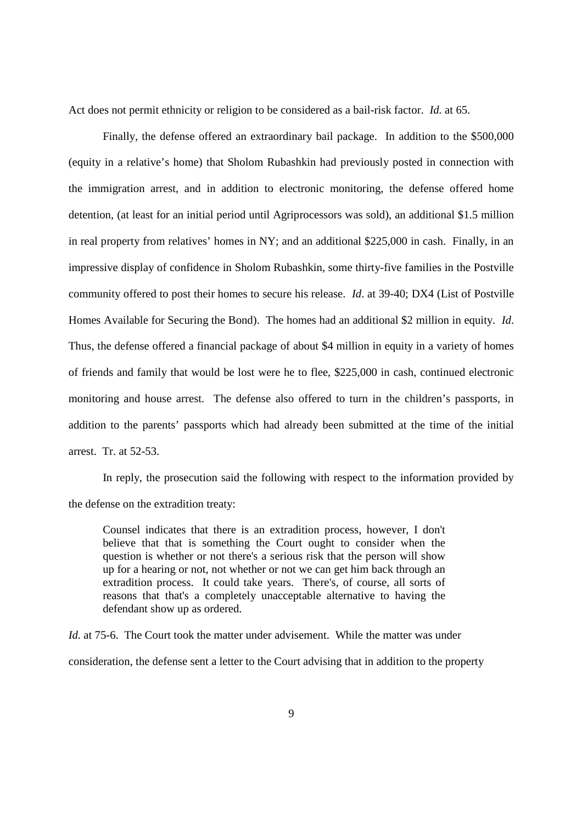Act does not permit ethnicity or religion to be considered as a bail-risk factor. *Id.* at 65.

Finally, the defense offered an extraordinary bail package. In addition to the \$500,000 (equity in a relative's home) that Sholom Rubashkin had previously posted in connection with the immigration arrest, and in addition to electronic monitoring, the defense offered home detention, (at least for an initial period until Agriprocessors was sold), an additional \$1.5 million in real property from relatives' homes in NY; and an additional \$225,000 in cash. Finally, in an impressive display of confidence in Sholom Rubashkin, some thirty-five families in the Postville community offered to post their homes to secure his release. *Id*. at 39-40; DX4 (List of Postville Homes Available for Securing the Bond). The homes had an additional \$2 million in equity. *Id*. Thus, the defense offered a financial package of about \$4 million in equity in a variety of homes of friends and family that would be lost were he to flee, \$225,000 in cash, continued electronic monitoring and house arrest. The defense also offered to turn in the children's passports, in addition to the parents' passports which had already been submitted at the time of the initial arrest. Tr. at 52-53.

In reply, the prosecution said the following with respect to the information provided by the defense on the extradition treaty:

Counsel indicates that there is an extradition process, however, I don't believe that that is something the Court ought to consider when the question is whether or not there's a serious risk that the person will show up for a hearing or not, not whether or not we can get him back through an extradition process. It could take years. There's, of course, all sorts of reasons that that's a completely unacceptable alternative to having the defendant show up as ordered.

*Id.* at 75-6. The Court took the matter under advisement. While the matter was under consideration, the defense sent a letter to the Court advising that in addition to the property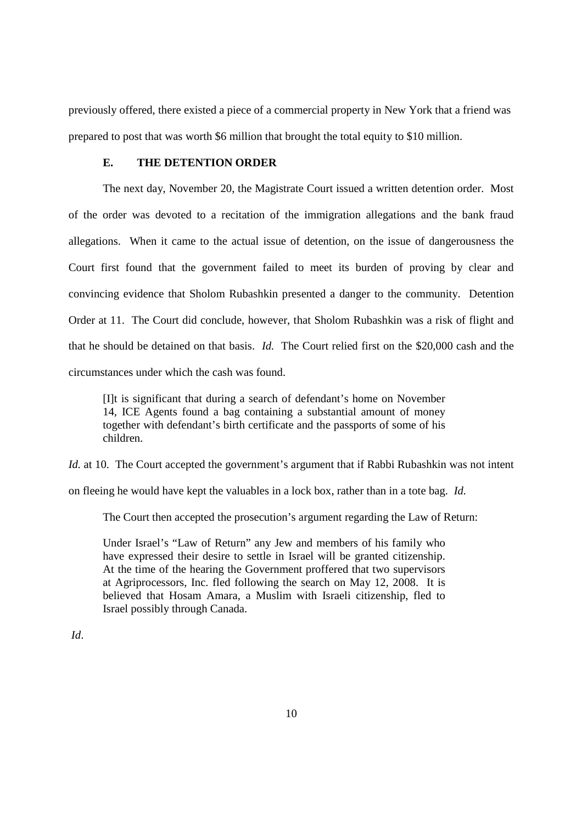previously offered, there existed a piece of a commercial property in New York that a friend was prepared to post that was worth \$6 million that brought the total equity to \$10 million.

### **E. THE DETENTION ORDER**

The next day, November 20, the Magistrate Court issued a written detention order. Most of the order was devoted to a recitation of the immigration allegations and the bank fraud allegations. When it came to the actual issue of detention, on the issue of dangerousness the Court first found that the government failed to meet its burden of proving by clear and convincing evidence that Sholom Rubashkin presented a danger to the community. Detention Order at 11. The Court did conclude, however, that Sholom Rubashkin was a risk of flight and that he should be detained on that basis. *Id.* The Court relied first on the \$20,000 cash and the circumstances under which the cash was found.

[I]t is significant that during a search of defendant's home on November 14, ICE Agents found a bag containing a substantial amount of money together with defendant's birth certificate and the passports of some of his children.

*Id.* at 10. The Court accepted the government's argument that if Rabbi Rubashkin was not intent

on fleeing he would have kept the valuables in a lock box, rather than in a tote bag. *Id.*

The Court then accepted the prosecution's argument regarding the Law of Return:

Under Israel's "Law of Return" any Jew and members of his family who have expressed their desire to settle in Israel will be granted citizenship. At the time of the hearing the Government proffered that two supervisors at Agriprocessors, Inc. fled following the search on May 12, 2008. It is believed that Hosam Amara, a Muslim with Israeli citizenship, fled to Israel possibly through Canada.

*Id*.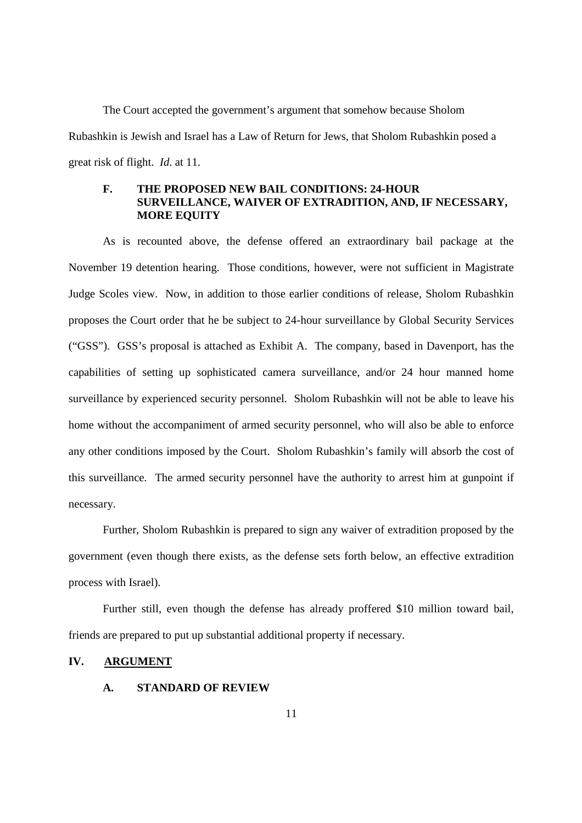The Court accepted the government's argument that somehow because Sholom Rubashkin is Jewish and Israel has a Law of Return for Jews, that Sholom Rubashkin posed a great risk of flight. *Id*. at 11.

# **F. THE PROPOSED NEW BAIL CONDITIONS: 24-HOUR SURVEILLANCE, WAIVER OF EXTRADITION, AND, IF NECESSARY, MORE EQUITY**

As is recounted above, the defense offered an extraordinary bail package at the November 19 detention hearing. Those conditions, however, were not sufficient in Magistrate Judge Scoles view. Now, in addition to those earlier conditions of release, Sholom Rubashkin proposes the Court order that he be subject to 24-hour surveillance by Global Security Services ("GSS"). GSS's proposal is attached as Exhibit A. The company, based in Davenport, has the capabilities of setting up sophisticated camera surveillance, and/or 24 hour manned home surveillance by experienced security personnel. Sholom Rubashkin will not be able to leave his home without the accompaniment of armed security personnel, who will also be able to enforce any other conditions imposed by the Court. Sholom Rubashkin's family will absorb the cost of this surveillance. The armed security personnel have the authority to arrest him at gunpoint if necessary.

Further, Sholom Rubashkin is prepared to sign any waiver of extradition proposed by the government (even though there exists, as the defense sets forth below, an effective extradition process with Israel).

Further still, even though the defense has already proffered \$10 million toward bail, friends are prepared to put up substantial additional property if necessary.

### **IV. ARGUMENT**

### **A. STANDARD OF REVIEW**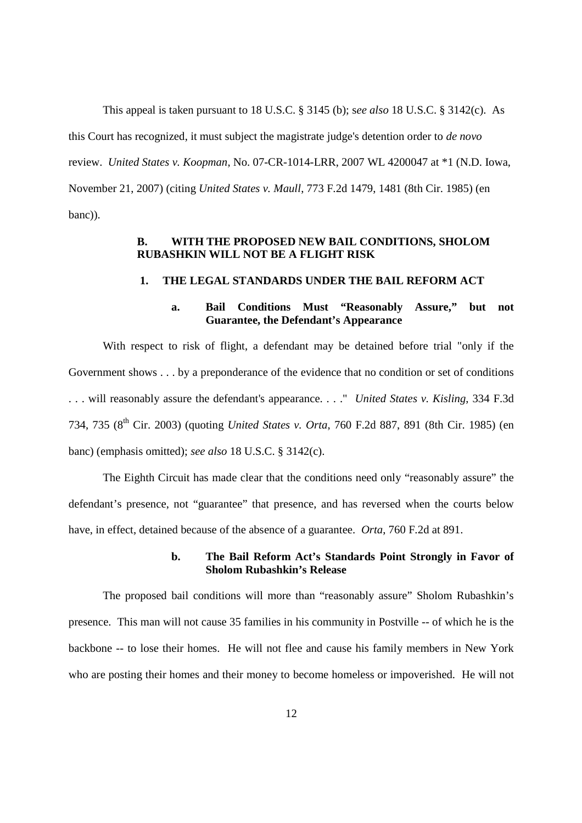This appeal is taken pursuant to 18 U.S.C. § 3145 (b); s*ee also* 18 U.S.C. § 3142(c). As this Court has recognized, it must subject the magistrate judge's detention order to *de novo* review. *United States v. Koopman*, No. 07-CR-1014-LRR, 2007 WL 4200047 at \*1 (N.D. Iowa, November 21, 2007) (citing *United States v. Maull*, 773 F.2d 1479, 1481 (8th Cir. 1985) (en banc)).

# **B. WITH THE PROPOSED NEW BAIL CONDITIONS, SHOLOM RUBASHKIN WILL NOT BE A FLIGHT RISK**

#### **1. THE LEGAL STANDARDS UNDER THE BAIL REFORM ACT**

# **a. Bail Conditions Must "Reasonably Assure," but not Guarantee, the Defendant's Appearance**

With respect to risk of flight, a defendant may be detained before trial "only if the Government shows . . . by a preponderance of the evidence that no condition or set of conditions . . . will reasonably assure the defendant's appearance. . . ." *United States v. Kisling*, 334 F.3d 734, 735 (8th Cir. 2003) (quoting *United States v. Orta*, 760 F.2d 887, 891 (8th Cir. 1985) (en banc) (emphasis omitted); *see also* 18 U.S.C. § 3142(c).

The Eighth Circuit has made clear that the conditions need only "reasonably assure" the defendant's presence, not "guarantee" that presence, and has reversed when the courts below have, in effect, detained because of the absence of a guarantee. *Orta*, 760 F.2d at 891.

### **b. The Bail Reform Act's Standards Point Strongly in Favor of Sholom Rubashkin's Release**

The proposed bail conditions will more than "reasonably assure" Sholom Rubashkin's presence. This man will not cause 35 families in his community in Postville -- of which he is the backbone -- to lose their homes. He will not flee and cause his family members in New York who are posting their homes and their money to become homeless or impoverished. He will not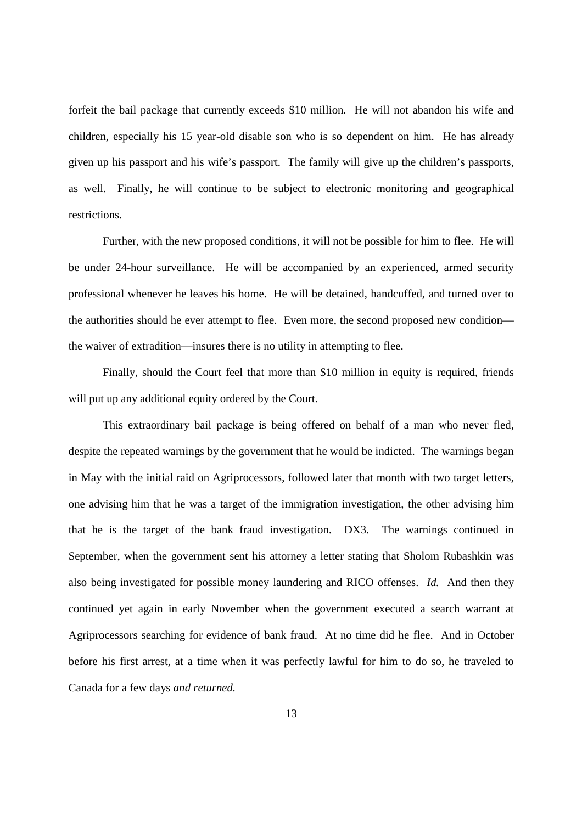forfeit the bail package that currently exceeds \$10 million. He will not abandon his wife and children, especially his 15 year-old disable son who is so dependent on him. He has already given up his passport and his wife's passport. The family will give up the children's passports, as well. Finally, he will continue to be subject to electronic monitoring and geographical restrictions.

Further, with the new proposed conditions, it will not be possible for him to flee. He will be under 24-hour surveillance. He will be accompanied by an experienced, armed security professional whenever he leaves his home. He will be detained, handcuffed, and turned over to the authorities should he ever attempt to flee. Even more, the second proposed new condition the waiver of extradition—insures there is no utility in attempting to flee.

Finally, should the Court feel that more than \$10 million in equity is required, friends will put up any additional equity ordered by the Court.

This extraordinary bail package is being offered on behalf of a man who never fled, despite the repeated warnings by the government that he would be indicted. The warnings began in May with the initial raid on Agriprocessors, followed later that month with two target letters, one advising him that he was a target of the immigration investigation, the other advising him that he is the target of the bank fraud investigation. DX3. The warnings continued in September, when the government sent his attorney a letter stating that Sholom Rubashkin was also being investigated for possible money laundering and RICO offenses. *Id.* And then they continued yet again in early November when the government executed a search warrant at Agriprocessors searching for evidence of bank fraud. At no time did he flee. And in October before his first arrest, at a time when it was perfectly lawful for him to do so, he traveled to Canada for a few days *and returned.*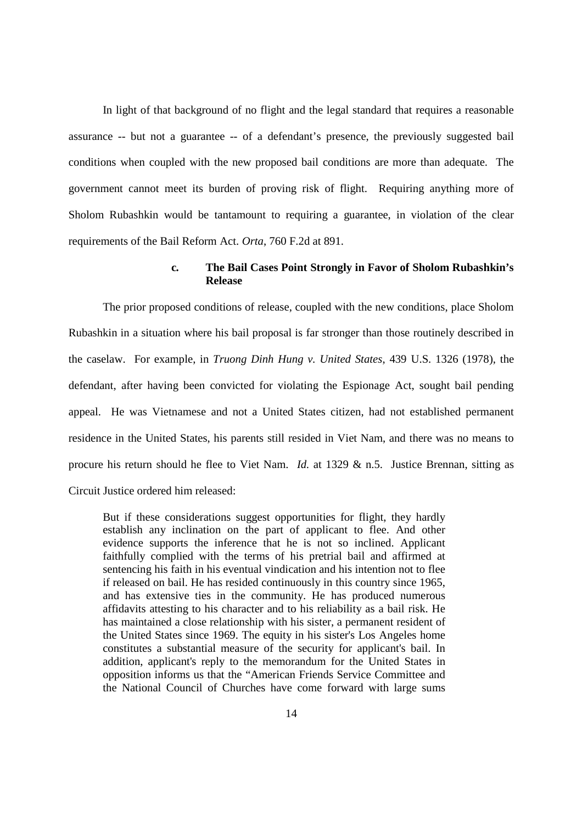In light of that background of no flight and the legal standard that requires a reasonable assurance -- but not a guarantee -- of a defendant's presence, the previously suggested bail conditions when coupled with the new proposed bail conditions are more than adequate. The government cannot meet its burden of proving risk of flight. Requiring anything more of Sholom Rubashkin would be tantamount to requiring a guarantee, in violation of the clear requirements of the Bail Reform Act. *Orta*, 760 F.2d at 891.

### **c***.* **The Bail Cases Point Strongly in Favor of Sholom Rubashkin's Release**

The prior proposed conditions of release, coupled with the new conditions, place Sholom Rubashkin in a situation where his bail proposal is far stronger than those routinely described in the caselaw. For example, in *Truong Dinh Hung v. United States*, 439 U.S. 1326 (1978), the defendant, after having been convicted for violating the Espionage Act, sought bail pending appeal. He was Vietnamese and not a United States citizen, had not established permanent residence in the United States, his parents still resided in Viet Nam, and there was no means to procure his return should he flee to Viet Nam. *Id.* at 1329 & n.5. Justice Brennan, sitting as Circuit Justice ordered him released:

But if these considerations suggest opportunities for flight, they hardly establish any inclination on the part of applicant to flee. And other evidence supports the inference that he is not so inclined. Applicant faithfully complied with the terms of his pretrial bail and affirmed at sentencing his faith in his eventual vindication and his intention not to flee if released on bail. He has resided continuously in this country since 1965, and has extensive ties in the community. He has produced numerous affidavits attesting to his character and to his reliability as a bail risk. He has maintained a close relationship with his sister, a permanent resident of the United States since 1969. The equity in his sister's Los Angeles home constitutes a substantial measure of the security for applicant's bail. In addition, applicant's reply to the memorandum for the United States in opposition informs us that the "American Friends Service Committee and the National Council of Churches have come forward with large sums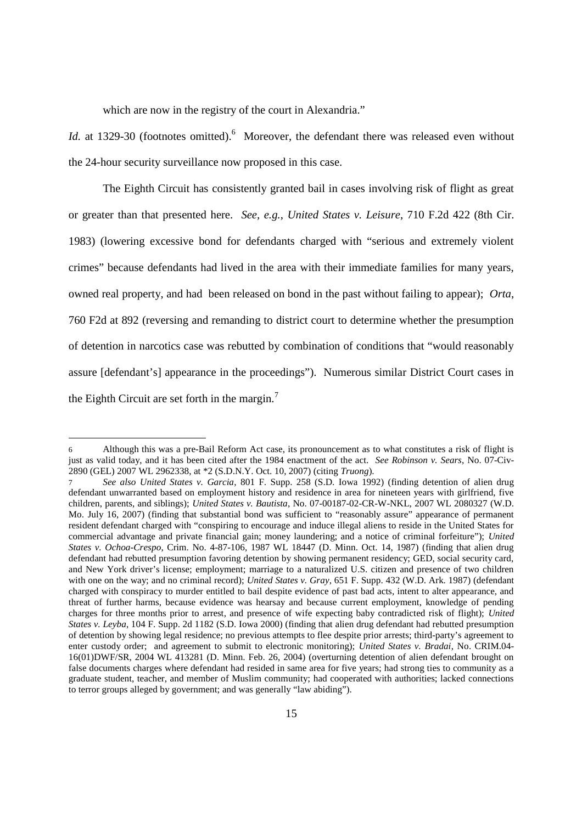which are now in the registry of the court in Alexandria."

*Id.* at 1329-30 (footnotes omitted).<sup>6</sup> Moreover, the defendant there was released even without the 24-hour security surveillance now proposed in this case.

The Eighth Circuit has consistently granted bail in cases involving risk of flight as great or greater than that presented here. *See, e.g.*, *United States v. Leisure*, 710 F.2d 422 (8th Cir. 1983) (lowering excessive bond for defendants charged with "serious and extremely violent crimes" because defendants had lived in the area with their immediate families for many years, owned real property, and had been released on bond in the past without failing to appear); *Orta*, 760 F2d at 892 (reversing and remanding to district court to determine whether the presumption of detention in narcotics case was rebutted by combination of conditions that "would reasonably assure [defendant's] appearance in the proceedings"). Numerous similar District Court cases in the Eighth Circuit are set forth in the margin.<sup>7</sup>

<sup>6</sup> Although this was a pre-Bail Reform Act case, its pronouncement as to what constitutes a risk of flight is just as valid today, and it has been cited after the 1984 enactment of the act. *See Robinson v. Sears*, No. 07-Civ-2890 (GEL) 2007 WL 2962338, at \*2 (S.D.N.Y. Oct. 10, 2007) (citing *Truong*).

<sup>7</sup> *See also United States v. Garcia*, 801 F. Supp. 258 (S.D. Iowa 1992) (finding detention of alien drug defendant unwarranted based on employment history and residence in area for nineteen years with girlfriend, five children, parents, and siblings); *United States v. Bautista*, No. 07-00187-02-CR-W-NKL, 2007 WL 2080327 (W.D. Mo. July 16, 2007) (finding that substantial bond was sufficient to "reasonably assure" appearance of permanent resident defendant charged with "conspiring to encourage and induce illegal aliens to reside in the United States for commercial advantage and private financial gain; money laundering; and a notice of criminal forfeiture"); *United States v. Ochoa-Crespo*, Crim. No. 4-87-106, 1987 WL 18447 (D. Minn. Oct. 14, 1987) (finding that alien drug defendant had rebutted presumption favoring detention by showing permanent residency; GED, social security card, and New York driver's license; employment; marriage to a naturalized U.S. citizen and presence of two children with one on the way; and no criminal record); *United States v. Gray*, 651 F. Supp. 432 (W.D. Ark. 1987) (defendant charged with conspiracy to murder entitled to bail despite evidence of past bad acts, intent to alter appearance, and threat of further harms, because evidence was hearsay and because current employment, knowledge of pending charges for three months prior to arrest, and presence of wife expecting baby contradicted risk of flight); *United States v. Leyba*, 104 F. Supp. 2d 1182 (S.D. Iowa 2000) (finding that alien drug defendant had rebutted presumption of detention by showing legal residence; no previous attempts to flee despite prior arrests; third-party's agreement to enter custody order; and agreement to submit to electronic monitoring); *United States v. Bradai*, No. CRIM.04- 16(01)DWF/SR, 2004 WL 413281 (D. Minn. Feb. 26, 2004) (overturning detention of alien defendant brought on false documents charges where defendant had resided in same area for five years; had strong ties to community as a graduate student, teacher, and member of Muslim community; had cooperated with authorities; lacked connections to terror groups alleged by government; and was generally "law abiding").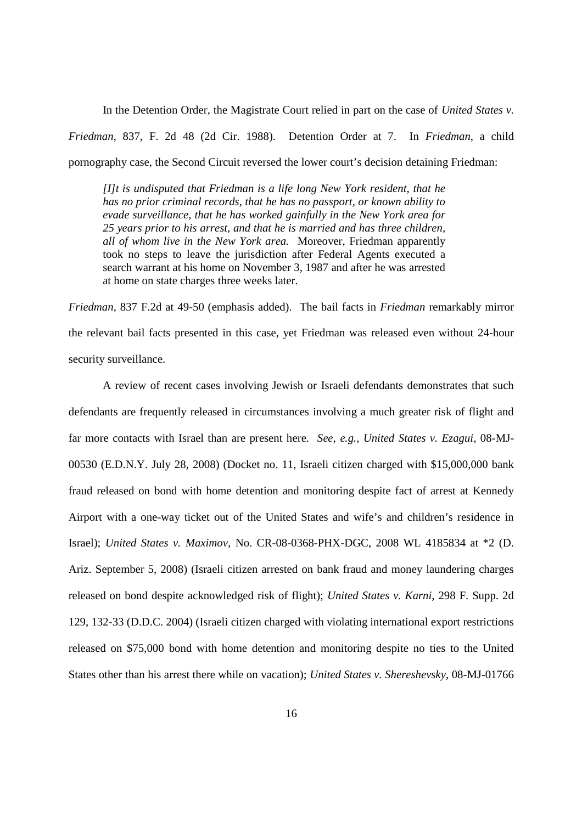In the Detention Order, the Magistrate Court relied in part on the case of *United States v. Friedman*, 837, F. 2d 48 (2d Cir. 1988). Detention Order at 7. In *Friedman*, a child pornography case, the Second Circuit reversed the lower court's decision detaining Friedman:

*[I]t is undisputed that Friedman is a life long New York resident, that he has no prior criminal records, that he has no passport, or known ability to evade surveillance, that he has worked gainfully in the New York area for 25 years prior to his arrest, and that he is married and has three children, all of whom live in the New York area.* Moreover, Friedman apparently took no steps to leave the jurisdiction after Federal Agents executed a search warrant at his home on November 3, 1987 and after he was arrested at home on state charges three weeks later.

*Friedman*, 837 F.2d at 49-50 (emphasis added). The bail facts in *Friedman* remarkably mirror the relevant bail facts presented in this case, yet Friedman was released even without 24-hour security surveillance.

A review of recent cases involving Jewish or Israeli defendants demonstrates that such defendants are frequently released in circumstances involving a much greater risk of flight and far more contacts with Israel than are present here. *See, e.g., United States v. Ezagui*, 08-MJ-00530 (E.D.N.Y. July 28, 2008) (Docket no. 11, Israeli citizen charged with \$15,000,000 bank fraud released on bond with home detention and monitoring despite fact of arrest at Kennedy Airport with a one-way ticket out of the United States and wife's and children's residence in Israel); *United States v. Maximov*, No. CR-08-0368-PHX-DGC, 2008 WL 4185834 at \*2 (D. Ariz. September 5, 2008) (Israeli citizen arrested on bank fraud and money laundering charges released on bond despite acknowledged risk of flight); *United States v. Karni*, 298 F. Supp. 2d 129, 132-33 (D.D.C. 2004) (Israeli citizen charged with violating international export restrictions released on \$75,000 bond with home detention and monitoring despite no ties to the United States other than his arrest there while on vacation); *United States v. Shereshevsky*, 08-MJ-01766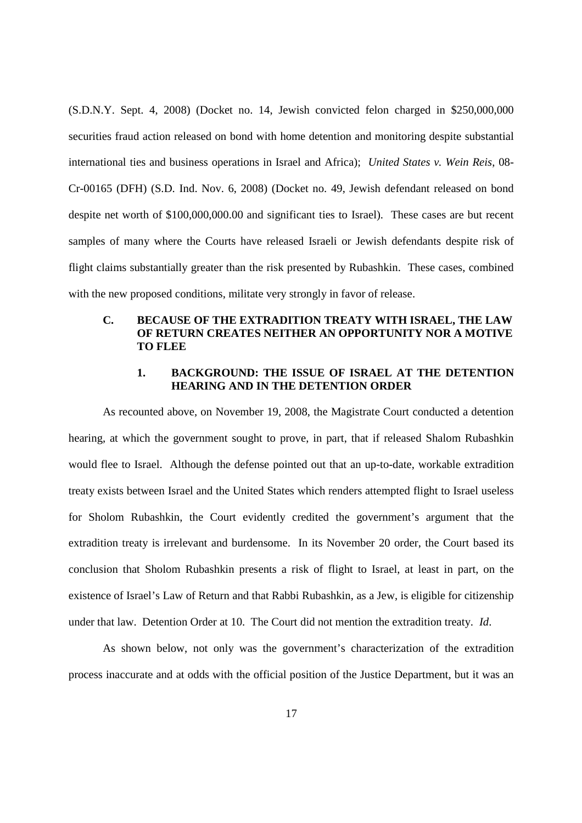(S.D.N.Y. Sept. 4, 2008) (Docket no. 14, Jewish convicted felon charged in \$250,000,000 securities fraud action released on bond with home detention and monitoring despite substantial international ties and business operations in Israel and Africa); *United States v. Wein Reis*, 08- Cr-00165 (DFH) (S.D. Ind. Nov. 6, 2008) (Docket no. 49, Jewish defendant released on bond despite net worth of \$100,000,000.00 and significant ties to Israel). These cases are but recent samples of many where the Courts have released Israeli or Jewish defendants despite risk of flight claims substantially greater than the risk presented by Rubashkin. These cases, combined with the new proposed conditions, militate very strongly in favor of release.

# **C. BECAUSE OF THE EXTRADITION TREATY WITH ISRAEL, THE LAW OF RETURN CREATES NEITHER AN OPPORTUNITY NOR A MOTIVE TO FLEE**

# **1. BACKGROUND: THE ISSUE OF ISRAEL AT THE DETENTION HEARING AND IN THE DETENTION ORDER**

As recounted above, on November 19, 2008, the Magistrate Court conducted a detention hearing, at which the government sought to prove, in part, that if released Shalom Rubashkin would flee to Israel. Although the defense pointed out that an up-to-date, workable extradition treaty exists between Israel and the United States which renders attempted flight to Israel useless for Sholom Rubashkin, the Court evidently credited the government's argument that the extradition treaty is irrelevant and burdensome. In its November 20 order, the Court based its conclusion that Sholom Rubashkin presents a risk of flight to Israel, at least in part, on the existence of Israel's Law of Return and that Rabbi Rubashkin, as a Jew, is eligible for citizenship under that law. Detention Order at 10. The Court did not mention the extradition treaty. *Id*.

As shown below, not only was the government's characterization of the extradition process inaccurate and at odds with the official position of the Justice Department, but it was an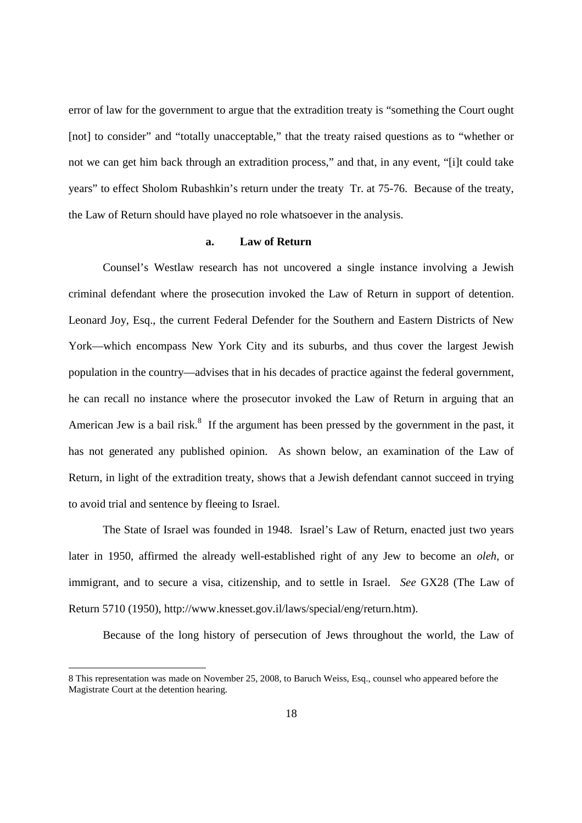error of law for the government to argue that the extradition treaty is "something the Court ought [not] to consider" and "totally unacceptable," that the treaty raised questions as to "whether or not we can get him back through an extradition process," and that, in any event, "[i]t could take years" to effect Sholom Rubashkin's return under the treaty Tr. at 75-76. Because of the treaty, the Law of Return should have played no role whatsoever in the analysis.

#### **a. Law of Return**

Counsel's Westlaw research has not uncovered a single instance involving a Jewish criminal defendant where the prosecution invoked the Law of Return in support of detention. Leonard Joy, Esq., the current Federal Defender for the Southern and Eastern Districts of New York—which encompass New York City and its suburbs, and thus cover the largest Jewish population in the country—advises that in his decades of practice against the federal government, he can recall no instance where the prosecutor invoked the Law of Return in arguing that an American Jew is a bail risk.<sup>8</sup> If the argument has been pressed by the government in the past, it has not generated any published opinion. As shown below, an examination of the Law of Return, in light of the extradition treaty, shows that a Jewish defendant cannot succeed in trying to avoid trial and sentence by fleeing to Israel.

The State of Israel was founded in 1948. Israel's Law of Return, enacted just two years later in 1950, affirmed the already well-established right of any Jew to become an *oleh*, or immigrant, and to secure a visa, citizenship, and to settle in Israel. *See* GX28 (The Law of Return 5710 (1950), http://www.knesset.gov.il/laws/special/eng/return.htm).

Because of the long history of persecution of Jews throughout the world, the Law of

<sup>8</sup> This representation was made on November 25, 2008, to Baruch Weiss, Esq., counsel who appeared before the Magistrate Court at the detention hearing.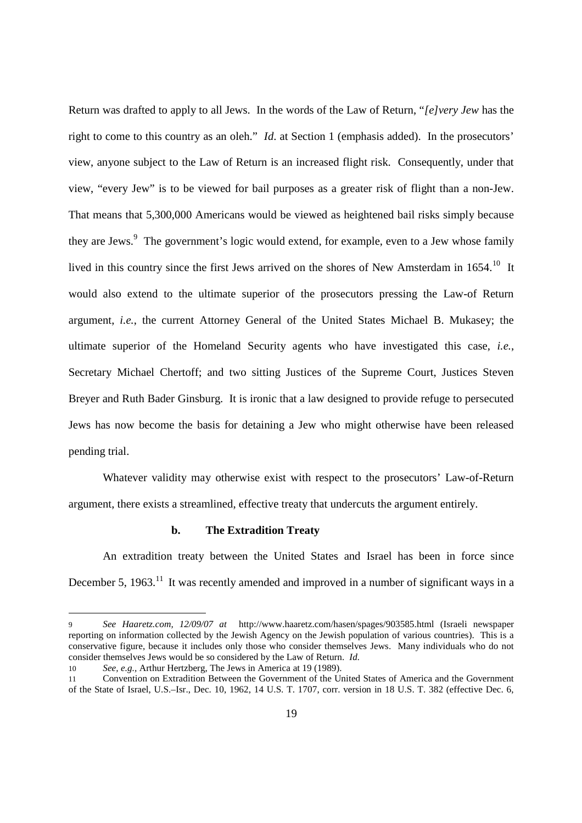Return was drafted to apply to all Jews. In the words of the Law of Return, "*[e]very Jew* has the right to come to this country as an oleh." *Id*. at Section 1 (emphasis added). In the prosecutors' view, anyone subject to the Law of Return is an increased flight risk. Consequently, under that view, "every Jew" is to be viewed for bail purposes as a greater risk of flight than a non-Jew. That means that 5,300,000 Americans would be viewed as heightened bail risks simply because they are Jews.<sup>9</sup> The government's logic would extend, for example, even to a Jew whose family lived in this country since the first Jews arrived on the shores of New Amsterdam in 1654.<sup>10</sup> It would also extend to the ultimate superior of the prosecutors pressing the Law-of Return argument, *i.e.*, the current Attorney General of the United States Michael B. Mukasey; the ultimate superior of the Homeland Security agents who have investigated this case, *i.e.*, Secretary Michael Chertoff; and two sitting Justices of the Supreme Court, Justices Steven Breyer and Ruth Bader Ginsburg. It is ironic that a law designed to provide refuge to persecuted Jews has now become the basis for detaining a Jew who might otherwise have been released pending trial.

Whatever validity may otherwise exist with respect to the prosecutors' Law-of-Return argument, there exists a streamlined, effective treaty that undercuts the argument entirely.

# **b. The Extradition Treaty**

An extradition treaty between the United States and Israel has been in force since December 5, 1963.<sup>11</sup> It was recently amended and improved in a number of significant ways in a

<sup>9</sup> *See Haaretz.com, 12/09/07 at* http://www.haaretz.com/hasen/spages/903585.html (Israeli newspaper reporting on information collected by the Jewish Agency on the Jewish population of various countries). This is a conservative figure, because it includes only those who consider themselves Jews. Many individuals who do not consider themselves Jews would be so considered by the Law of Return. *Id.*

<sup>10</sup> *See, e.g.,* Arthur Hertzberg, The Jews in America at 19 (1989).

<sup>11</sup> Convention on Extradition Between the Government of the United States of America and the Government of the State of Israel, U.S.–Isr., Dec. 10, 1962, 14 U.S. T. 1707, corr. version in 18 U.S. T. 382 (effective Dec. 6,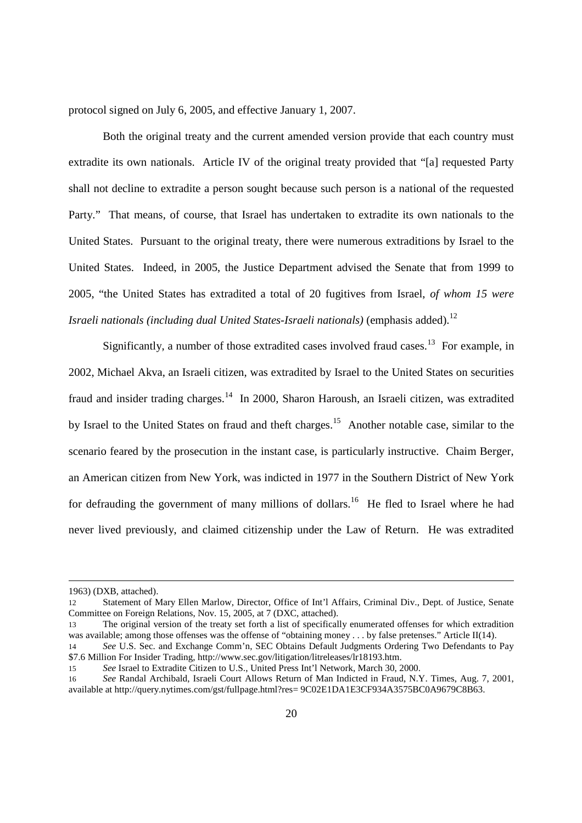protocol signed on July 6, 2005, and effective January 1, 2007.

Both the original treaty and the current amended version provide that each country must extradite its own nationals. Article IV of the original treaty provided that "[a] requested Party shall not decline to extradite a person sought because such person is a national of the requested Party." That means, of course, that Israel has undertaken to extradite its own nationals to the United States. Pursuant to the original treaty, there were numerous extraditions by Israel to the United States. Indeed, in 2005, the Justice Department advised the Senate that from 1999 to 2005, "the United States has extradited a total of 20 fugitives from Israel, *of whom 15 were Israeli nationals (including dual United States-Israeli nationals)* (emphasis added).<sup>12</sup>

Significantly, a number of those extradited cases involved fraud cases.<sup>13</sup> For example, in 2002, Michael Akva, an Israeli citizen, was extradited by Israel to the United States on securities fraud and insider trading charges.<sup>14</sup> In 2000, Sharon Haroush, an Israeli citizen, was extradited by Israel to the United States on fraud and theft charges.<sup>15</sup> Another notable case, similar to the scenario feared by the prosecution in the instant case, is particularly instructive. Chaim Berger, an American citizen from New York, was indicted in 1977 in the Southern District of New York for defrauding the government of many millions of dollars.<sup>16</sup> He fled to Israel where he had never lived previously, and claimed citizenship under the Law of Return. He was extradited

<sup>1963) (</sup>DXB, attached).

<sup>12</sup> Statement of Mary Ellen Marlow, Director, Office of Int'l Affairs, Criminal Div., Dept. of Justice, Senate Committee on Foreign Relations, Nov. 15, 2005, at 7 (DXC, attached).

<sup>13</sup> The original version of the treaty set forth a list of specifically enumerated offenses for which extradition was available; among those offenses was the offense of "obtaining money . . . by false pretenses." Article II(14).

<sup>14</sup> *See* U.S. Sec. and Exchange Comm'n, SEC Obtains Default Judgments Ordering Two Defendants to Pay \$7.6 Million For Insider Trading, http://www.sec.gov/litigation/litreleases/lr18193.htm.

<sup>15</sup> *See* Israel to Extradite Citizen to U.S., United Press Int'l Network, March 30, 2000.

<sup>16</sup> *See* Randal Archibald, Israeli Court Allows Return of Man Indicted in Fraud, N.Y. Times, Aug. 7, 2001, available at http://query.nytimes.com/gst/fullpage.html?res= 9C02E1DA1E3CF934A3575BC0A9679C8B63.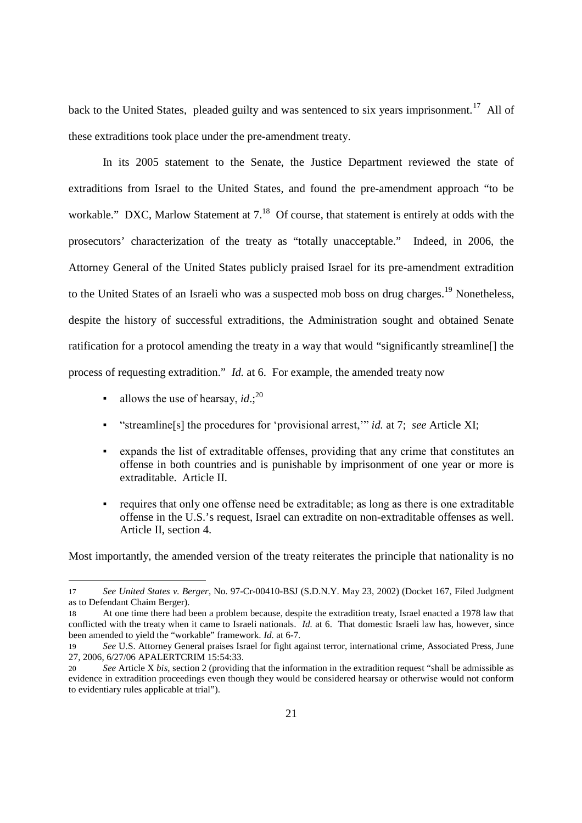back to the United States, pleaded guilty and was sentenced to six years imprisonment.<sup>17</sup> All of these extraditions took place under the pre-amendment treaty.

In its 2005 statement to the Senate, the Justice Department reviewed the state of extraditions from Israel to the United States, and found the pre-amendment approach "to be workable." DXC, Marlow Statement at  $7.^{18}$  Of course, that statement is entirely at odds with the prosecutors' characterization of the treaty as "totally unacceptable." Indeed, in 2006, the Attorney General of the United States publicly praised Israel for its pre-amendment extradition to the United States of an Israeli who was a suspected mob boss on drug charges.<sup>19</sup> Nonetheless, despite the history of successful extraditions, the Administration sought and obtained Senate ratification for a protocol amending the treaty in a way that would "significantly streamline[] the process of requesting extradition." *Id.* at 6. For example, the amended treaty now

- $\blacksquare$  allows the use of hearsay, *id*.;<sup>20</sup>
- "streamline[s] the procedures for 'provisional arrest,'" *id.* at 7; *see* Article XI;
- expands the list of extraditable offenses, providing that any crime that constitutes an offense in both countries and is punishable by imprisonment of one year or more is extraditable. Article II.
- requires that only one offense need be extraditable; as long as there is one extraditable offense in the U.S.'s request, Israel can extradite on non-extraditable offenses as well. Article II, section 4.

Most importantly, the amended version of the treaty reiterates the principle that nationality is no

<sup>17</sup> *See United States v. Berger*, No. 97-Cr-00410-BSJ (S.D.N.Y. May 23, 2002) (Docket 167, Filed Judgment as to Defendant Chaim Berger).

<sup>18</sup> At one time there had been a problem because, despite the extradition treaty, Israel enacted a 1978 law that conflicted with the treaty when it came to Israeli nationals. *Id.* at 6. That domestic Israeli law has, however, since been amended to yield the "workable" framework. *Id.* at 6-7.

<sup>19</sup> *See* U.S. Attorney General praises Israel for fight against terror, international crime, Associated Press, June 27, 2006, 6/27/06 APALERTCRIM 15:54:33.

<sup>20</sup> *See* Article X *bis*, section 2 (providing that the information in the extradition request "shall be admissible as evidence in extradition proceedings even though they would be considered hearsay or otherwise would not conform to evidentiary rules applicable at trial").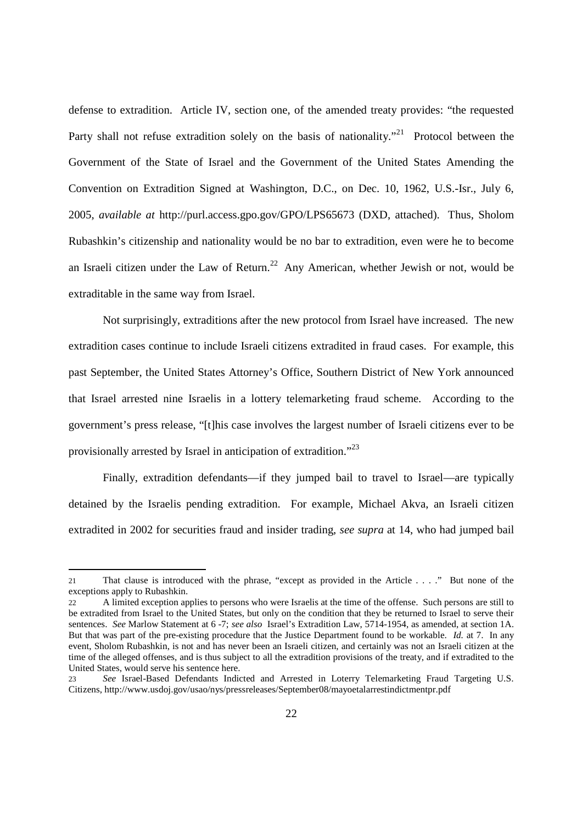defense to extradition. Article IV, section one, of the amended treaty provides: "the requested Party shall not refuse extradition solely on the basis of nationality."<sup>21</sup> Protocol between the Government of the State of Israel and the Government of the United States Amending the Convention on Extradition Signed at Washington, D.C., on Dec. 10, 1962, U.S.-Isr., July 6, 2005, *available at* http://purl.access.gpo.gov/GPO/LPS65673 (DXD, attached). Thus, Sholom Rubashkin's citizenship and nationality would be no bar to extradition, even were he to become an Israeli citizen under the Law of Return.<sup>22</sup> Any American, whether Jewish or not, would be extraditable in the same way from Israel.

Not surprisingly, extraditions after the new protocol from Israel have increased. The new extradition cases continue to include Israeli citizens extradited in fraud cases. For example, this past September, the United States Attorney's Office, Southern District of New York announced that Israel arrested nine Israelis in a lottery telemarketing fraud scheme. According to the government's press release, "[t]his case involves the largest number of Israeli citizens ever to be provisionally arrested by Israel in anticipation of extradition."<sup>23</sup>

Finally, extradition defendants—if they jumped bail to travel to Israel—are typically detained by the Israelis pending extradition. For example, Michael Akva, an Israeli citizen extradited in 2002 for securities fraud and insider trading, *see supra* at 14, who had jumped bail

<sup>21</sup> That clause is introduced with the phrase, "except as provided in the Article . . . ." But none of the exceptions apply to Rubashkin.

<sup>22</sup> A limited exception applies to persons who were Israelis at the time of the offense. Such persons are still to be extradited from Israel to the United States, but only on the condition that they be returned to Israel to serve their sentences. *See* Marlow Statement at 6 -7; *see also* Israel's Extradition Law, 5714-1954, as amended, at section 1A. But that was part of the pre-existing procedure that the Justice Department found to be workable. *Id.* at 7. In any event, Sholom Rubashkin, is not and has never been an Israeli citizen, and certainly was not an Israeli citizen at the time of the alleged offenses, and is thus subject to all the extradition provisions of the treaty, and if extradited to the United States, would serve his sentence here.

<sup>23</sup> *See* Israel-Based Defendants Indicted and Arrested in Loterry Telemarketing Fraud Targeting U.S. Citizens, http://www.usdoj.gov/usao/nys/pressreleases/September08/mayoetalarrestindictmentpr.pdf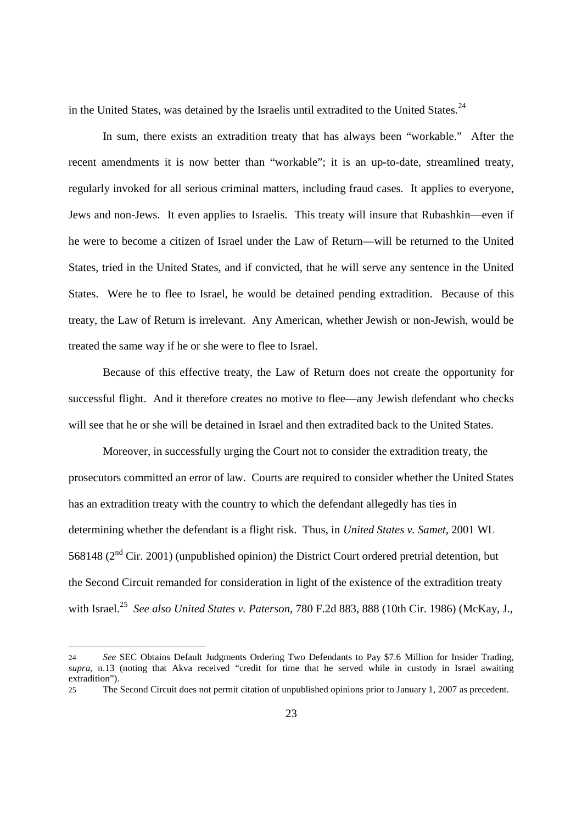in the United States, was detained by the Israelis until extradited to the United States.<sup>24</sup>

In sum, there exists an extradition treaty that has always been "workable." After the recent amendments it is now better than "workable"; it is an up-to-date, streamlined treaty, regularly invoked for all serious criminal matters, including fraud cases. It applies to everyone, Jews and non-Jews. It even applies to Israelis. This treaty will insure that Rubashkin—even if he were to become a citizen of Israel under the Law of Return—will be returned to the United States, tried in the United States, and if convicted, that he will serve any sentence in the United States. Were he to flee to Israel, he would be detained pending extradition. Because of this treaty, the Law of Return is irrelevant. Any American, whether Jewish or non-Jewish, would be treated the same way if he or she were to flee to Israel.

Because of this effective treaty, the Law of Return does not create the opportunity for successful flight. And it therefore creates no motive to flee—any Jewish defendant who checks will see that he or she will be detained in Israel and then extradited back to the United States.

Moreover, in successfully urging the Court not to consider the extradition treaty, the prosecutors committed an error of law. Courts are required to consider whether the United States has an extradition treaty with the country to which the defendant allegedly has ties in determining whether the defendant is a flight risk. Thus, in *United States v. Samet,* 2001 WL 568148 ( $2<sup>nd</sup>$  Cir. 2001) (unpublished opinion) the District Court ordered pretrial detention, but the Second Circuit remanded for consideration in light of the existence of the extradition treaty with Israel.<sup>25</sup> *See also United States v. Paterson*, 780 F.2d 883, 888 (10th Cir. 1986) (McKay, J.,

<sup>24</sup> *See* SEC Obtains Default Judgments Ordering Two Defendants to Pay \$7.6 Million for Insider Trading, *supra*, n.13 (noting that Akva received "credit for time that he served while in custody in Israel awaiting extradition").

<sup>25</sup> The Second Circuit does not permit citation of unpublished opinions prior to January 1, 2007 as precedent.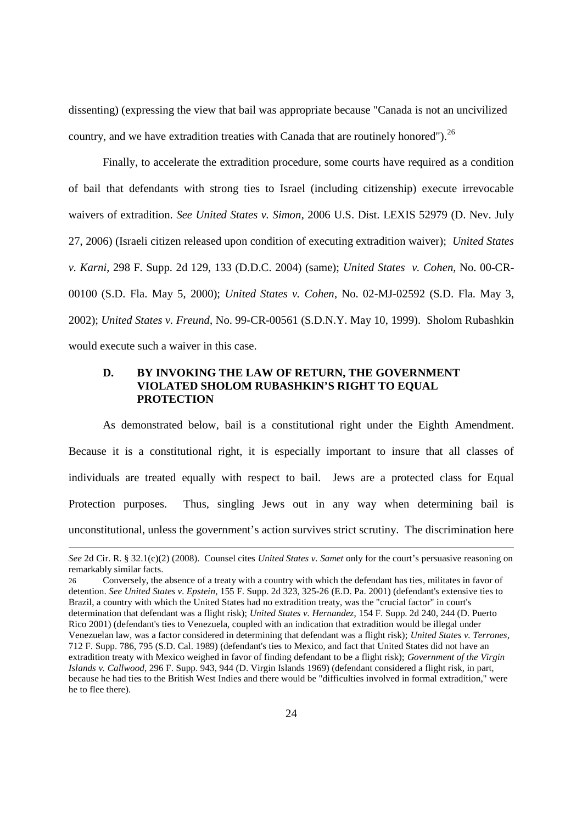dissenting) (expressing the view that bail was appropriate because "Canada is not an uncivilized country, and we have extradition treaties with Canada that are routinely honored").  $^{26}$ 

Finally, to accelerate the extradition procedure, some courts have required as a condition of bail that defendants with strong ties to Israel (including citizenship) execute irrevocable waivers of extradition. *See United States v. Simon*, 2006 U.S. Dist. LEXIS 52979 (D. Nev. July 27, 2006) (Israeli citizen released upon condition of executing extradition waiver); *United States v. Karni*, 298 F. Supp. 2d 129, 133 (D.D.C. 2004) (same); *United States v. Cohen*, No. 00-CR-00100 (S.D. Fla. May 5, 2000); *United States v. Cohen*, No. 02-MJ-02592 (S.D. Fla. May 3, 2002); *United States v. Freund*, No. 99-CR-00561 (S.D.N.Y. May 10, 1999). Sholom Rubashkin would execute such a waiver in this case.

# **D. BY INVOKING THE LAW OF RETURN, THE GOVERNMENT VIOLATED SHOLOM RUBASHKIN'S RIGHT TO EQUAL PROTECTION**

As demonstrated below, bail is a constitutional right under the Eighth Amendment. Because it is a constitutional right, it is especially important to insure that all classes of individuals are treated equally with respect to bail. Jews are a protected class for Equal Protection purposes. Thus, singling Jews out in any way when determining bail is unconstitutional, unless the government's action survives strict scrutiny. The discrimination here

*See* 2d Cir. R. § 32.1(c)(2) (2008). Counsel cites *United States v. Samet* only for the court's persuasive reasoning on remarkably similar facts.

<sup>26</sup> Conversely, the absence of a treaty with a country with which the defendant has ties, militates in favor of detention. *See United States v. Epstein*, 155 F. Supp. 2d 323, 325-26 (E.D. Pa. 2001) (defendant's extensive ties to Brazil, a country with which the United States had no extradition treaty, was the "crucial factor" in court's determination that defendant was a flight risk); *United States v. Hernandez*, 154 F. Supp. 2d 240, 244 (D. Puerto Rico 2001) (defendant's ties to Venezuela, coupled with an indication that extradition would be illegal under Venezuelan law, was a factor considered in determining that defendant was a flight risk); *United States v. Terrones*, 712 F. Supp. 786, 795 (S.D. Cal. 1989) (defendant's ties to Mexico, and fact that United States did not have an extradition treaty with Mexico weighed in favor of finding defendant to be a flight risk); *Government of the Virgin Islands v. Callwood*, 296 F. Supp. 943, 944 (D. Virgin Islands 1969) (defendant considered a flight risk, in part, because he had ties to the British West Indies and there would be "difficulties involved in formal extradition," were he to flee there).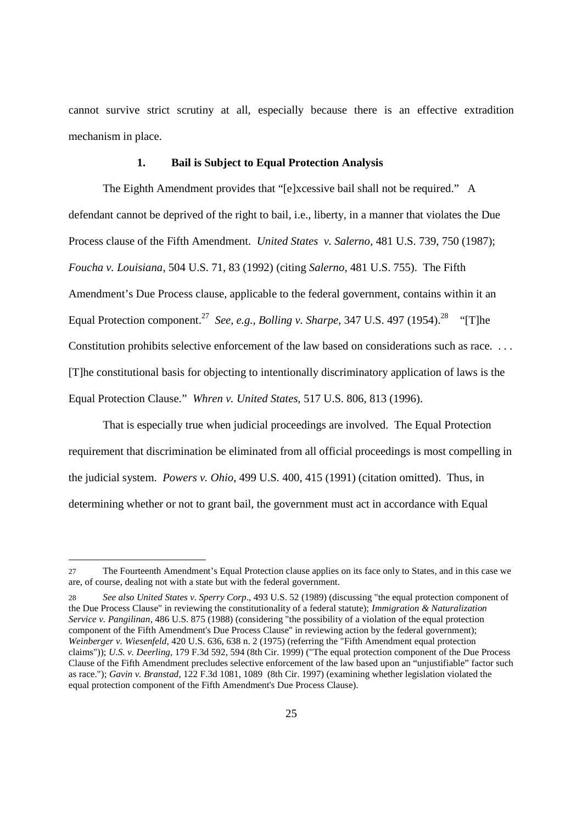cannot survive strict scrutiny at all, especially because there is an effective extradition mechanism in place.

### **1. Bail is Subject to Equal Protection Analysis**

The Eighth Amendment provides that "[e]xcessive bail shall not be required." A defendant cannot be deprived of the right to bail, i.e., liberty, in a manner that violates the Due Process clause of the Fifth Amendment. *United States v. Salerno*, 481 U.S. 739, 750 (1987); *Foucha v. Louisiana*, 504 U.S. 71, 83 (1992) (citing *Salerno*, 481 U.S. 755). The Fifth Amendment's Due Process clause, applicable to the federal government, contains within it an Equal Protection component.<sup>27</sup> *See, e.g., Bolling v. Sharpe,* 347 U.S. 497 (1954).<sup>28</sup> "[T]he Constitution prohibits selective enforcement of the law based on considerations such as race. . . . [T]he constitutional basis for objecting to intentionally discriminatory application of laws is the Equal Protection Clause." *Whren v. United States,* 517 U.S. 806, 813 (1996).

That is especially true when judicial proceedings are involved. The Equal Protection requirement that discrimination be eliminated from all official proceedings is most compelling in the judicial system. *Powers v. Ohio*, 499 U.S. 400, 415 (1991) (citation omitted). Thus, in determining whether or not to grant bail, the government must act in accordance with Equal

<sup>27</sup> The Fourteenth Amendment's Equal Protection clause applies on its face only to States, and in this case we are, of course, dealing not with a state but with the federal government.

<sup>28</sup> *See also United States v. Sperry Corp*., 493 U.S. 52 (1989) (discussing "the equal protection component of the Due Process Clause" in reviewing the constitutionality of a federal statute); *Immigration & Naturalization Service v. Pangilinan*, 486 U.S. 875 (1988) (considering "the possibility of a violation of the equal protection component of the Fifth Amendment's Due Process Clause" in reviewing action by the federal government); *Weinberger v. Wiesenfeld*, 420 U.S. 636, 638 n. 2 (1975) (referring the "Fifth Amendment equal protection claims")); *U.S. v. Deerling*, 179 F.3d 592, 594 (8th Cir. 1999) ("The equal protection component of the Due Process Clause of the Fifth Amendment precludes selective enforcement of the law based upon an "unjustifiable" factor such as race."); *Gavin v. Branstad*, 122 F.3d 1081, 1089 (8th Cir. 1997) (examining whether legislation violated the equal protection component of the Fifth Amendment's Due Process Clause).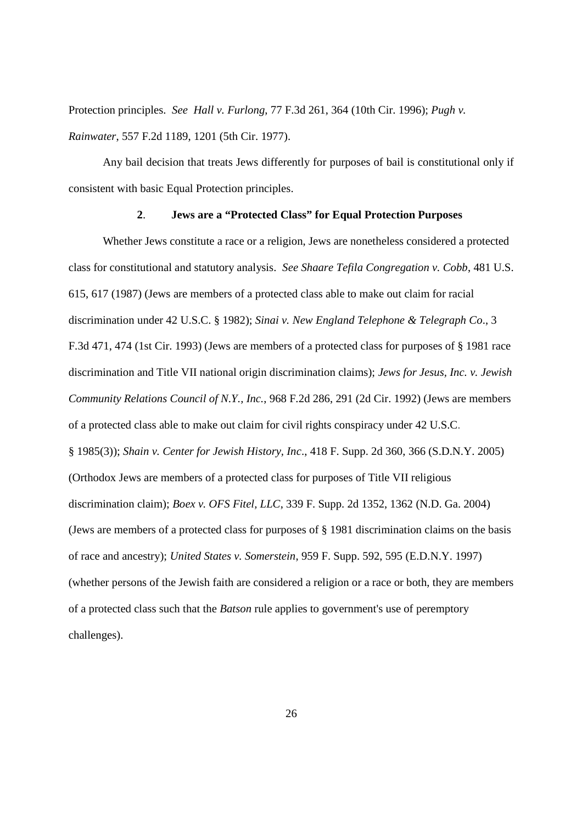Protection principles. *See Hall v. Furlong*, 77 F.3d 261, 364 (10th Cir. 1996); *Pugh v. Rainwater*, 557 F.2d 1189, 1201 (5th Cir. 1977).

Any bail decision that treats Jews differently for purposes of bail is constitutional only if consistent with basic Equal Protection principles.

#### **2**. **Jews are a "Protected Class" for Equal Protection Purposes**

Whether Jews constitute a race or a religion, Jews are nonetheless considered a protected class for constitutional and statutory analysis. *See Shaare Tefila Congregation v. Cobb*, 481 U.S. 615, 617 (1987) (Jews are members of a protected class able to make out claim for racial discrimination under 42 U.S.C. § 1982); *Sinai v. New England Telephone & Telegraph Co*., 3 F.3d 471, 474 (1st Cir. 1993) (Jews are members of a protected class for purposes of § 1981 race discrimination and Title VII national origin discrimination claims); *Jews for Jesus, Inc. v. Jewish Community Relations Council of N.Y., Inc.*, 968 F.2d 286, 291 (2d Cir. 1992) (Jews are members of a protected class able to make out claim for civil rights conspiracy under 42 U.S.C. § 1985(3)); *Shain v. Center for Jewish History, Inc*., 418 F. Supp. 2d 360, 366 (S.D.N.Y. 2005) (Orthodox Jews are members of a protected class for purposes of Title VII religious discrimination claim); *Boex v. OFS Fitel, LLC*, 339 F. Supp. 2d 1352, 1362 (N.D. Ga. 2004) (Jews are members of a protected class for purposes of § 1981 discrimination claims on the basis of race and ancestry); *United States v. Somerstein*, 959 F. Supp. 592, 595 (E.D.N.Y. 1997) (whether persons of the Jewish faith are considered a religion or a race or both, they are members of a protected class such that the *Batson* rule applies to government's use of peremptory challenges).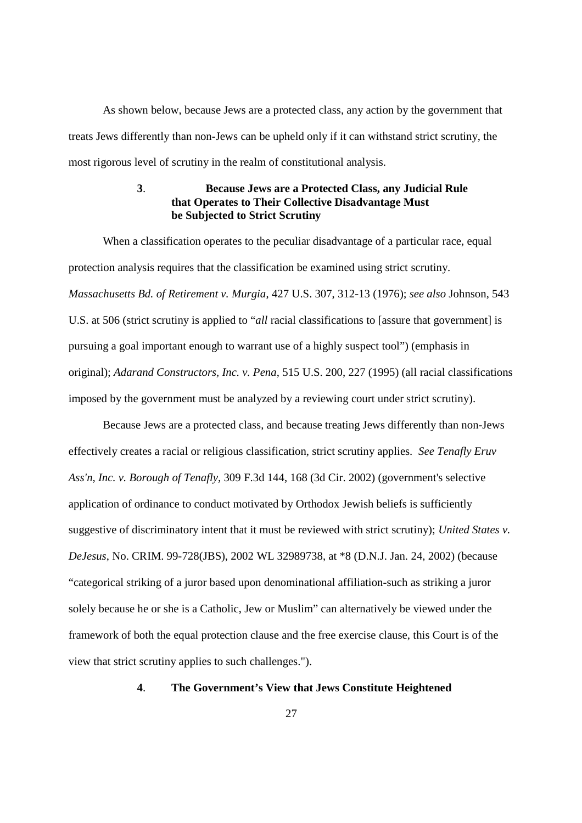As shown below, because Jews are a protected class, any action by the government that treats Jews differently than non-Jews can be upheld only if it can withstand strict scrutiny, the most rigorous level of scrutiny in the realm of constitutional analysis.

# **3**. **Because Jews are a Protected Class, any Judicial Rule that Operates to Their Collective Disadvantage Must be Subjected to Strict Scrutiny**

When a classification operates to the peculiar disadvantage of a particular race, equal protection analysis requires that the classification be examined using strict scrutiny. *Massachusetts Bd. of Retirement v. Murgia*, 427 U.S. 307, 312-13 (1976); *see also* Johnson, 543 U.S. at 506 (strict scrutiny is applied to "*all* racial classifications to [assure that government] is pursuing a goal important enough to warrant use of a highly suspect tool") (emphasis in original); *Adarand Constructors, Inc. v. Pena*, 515 U.S. 200, 227 (1995) (all racial classifications imposed by the government must be analyzed by a reviewing court under strict scrutiny).

Because Jews are a protected class, and because treating Jews differently than non-Jews effectively creates a racial or religious classification, strict scrutiny applies. *See Tenafly Eruv Ass'n, Inc. v. Borough of Tenafly*, 309 F.3d 144, 168 (3d Cir. 2002) (government's selective application of ordinance to conduct motivated by Orthodox Jewish beliefs is sufficiently suggestive of discriminatory intent that it must be reviewed with strict scrutiny); *United States v. DeJesus*, No. CRIM. 99-728(JBS), 2002 WL 32989738, at \*8 (D.N.J. Jan. 24, 2002) (because "categorical striking of a juror based upon denominational affiliation-such as striking a juror solely because he or she is a Catholic, Jew or Muslim" can alternatively be viewed under the framework of both the equal protection clause and the free exercise clause, this Court is of the view that strict scrutiny applies to such challenges.").

### **4**. **The Government's View that Jews Constitute Heightened**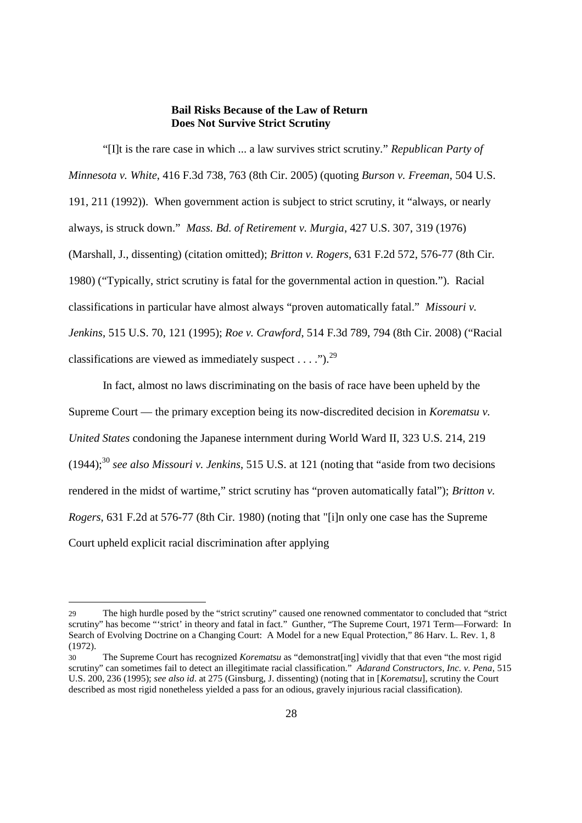#### **Bail Risks Because of the Law of Return Does Not Survive Strict Scrutiny**

"[I]t is the rare case in which ... a law survives strict scrutiny." *Republican Party of Minnesota v. White*, 416 F.3d 738, 763 (8th Cir. 2005) (quoting *Burson v. Freeman*, 504 U.S. 191, 211 (1992)). When government action is subject to strict scrutiny, it "always, or nearly always, is struck down." *Mass. Bd. of Retirement v. Murgia*, 427 U.S. 307, 319 (1976) (Marshall, J., dissenting) (citation omitted); *Britton v. Rogers*, 631 F.2d 572, 576-77 (8th Cir. 1980) ("Typically, strict scrutiny is fatal for the governmental action in question."). Racial classifications in particular have almost always "proven automatically fatal." *Missouri v. Jenkins*, 515 U.S. 70, 121 (1995); *Roe v. Crawford*, 514 F.3d 789, 794 (8th Cir. 2008) ("Racial classifications are viewed as immediately suspect . . . .").<sup>29</sup>

In fact, almost no laws discriminating on the basis of race have been upheld by the Supreme Court — the primary exception being its now-discredited decision in *Korematsu v. United States* condoning the Japanese internment during World Ward II, 323 U.S. 214, 219  $(1944);$ <sup>30</sup> *see also Missouri v. Jenkins*, 515 U.S. at 121 (noting that "aside from two decisions") rendered in the midst of wartime," strict scrutiny has "proven automatically fatal"); *Britton v. Rogers*, 631 F.2d at 576-77 (8th Cir. 1980) (noting that "[i]n only one case has the Supreme Court upheld explicit racial discrimination after applying

<sup>29</sup> The high hurdle posed by the "strict scrutiny" caused one renowned commentator to concluded that "strict scrutiny" has become "'strict' in theory and fatal in fact." Gunther, "The Supreme Court, 1971 Term—Forward: In Search of Evolving Doctrine on a Changing Court: A Model for a new Equal Protection," 86 Harv. L. Rev. 1, 8 (1972).

<sup>30</sup> The Supreme Court has recognized *Korematsu* as "demonstrat[ing] vividly that that even "the most rigid scrutiny" can sometimes fail to detect an illegitimate racial classification." *Adarand Constructors, Inc. v. Pena*, 515 U.S. 200, 236 (1995); *see also id*. at 275 (Ginsburg, J. dissenting) (noting that in [*Korematsu*], scrutiny the Court described as most rigid nonetheless yielded a pass for an odious, gravely injurious racial classification).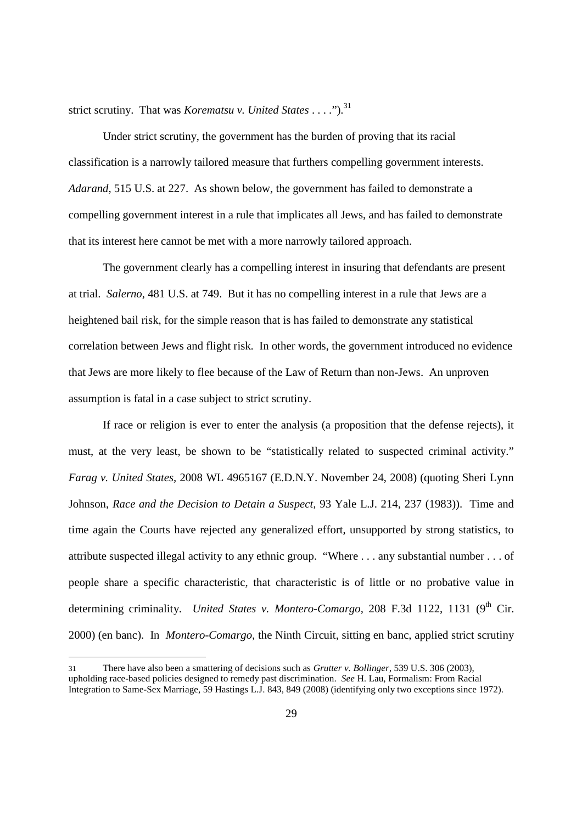strict scrutiny. That was *Korematsu v. United States* . . . . ").<sup>31</sup>

Under strict scrutiny, the government has the burden of proving that its racial classification is a narrowly tailored measure that furthers compelling government interests. *Adarand*, 515 U.S. at 227. As shown below, the government has failed to demonstrate a compelling government interest in a rule that implicates all Jews, and has failed to demonstrate that its interest here cannot be met with a more narrowly tailored approach.

The government clearly has a compelling interest in insuring that defendants are present at trial. *Salerno*, 481 U.S. at 749. But it has no compelling interest in a rule that Jews are a heightened bail risk, for the simple reason that is has failed to demonstrate any statistical correlation between Jews and flight risk. In other words, the government introduced no evidence that Jews are more likely to flee because of the Law of Return than non-Jews. An unproven assumption is fatal in a case subject to strict scrutiny.

If race or religion is ever to enter the analysis (a proposition that the defense rejects), it must, at the very least, be shown to be "statistically related to suspected criminal activity." *Farag v. United States,* 2008 WL 4965167 (E.D.N.Y. November 24, 2008) (quoting Sheri Lynn Johnson, *Race and the Decision to Detain a Suspect,* 93 Yale L.J. 214, 237 (1983)). Time and time again the Courts have rejected any generalized effort, unsupported by strong statistics, to attribute suspected illegal activity to any ethnic group. "Where . . . any substantial number . . . of people share a specific characteristic, that characteristic is of little or no probative value in determining criminality. *United States v. Montero-Comargo*, 208 F.3d 1122, 1131 (9<sup>th</sup> Cir. 2000) (en banc). In *Montero-Comargo,* the Ninth Circuit, sitting en banc, applied strict scrutiny

<sup>31</sup> There have also been a smattering of decisions such as *Grutter v. Bollinger*, 539 U.S. 306 (2003), upholding race-based policies designed to remedy past discrimination. *See* H. Lau, Formalism: From Racial Integration to Same-Sex Marriage, 59 Hastings L.J. 843, 849 (2008) (identifying only two exceptions since 1972).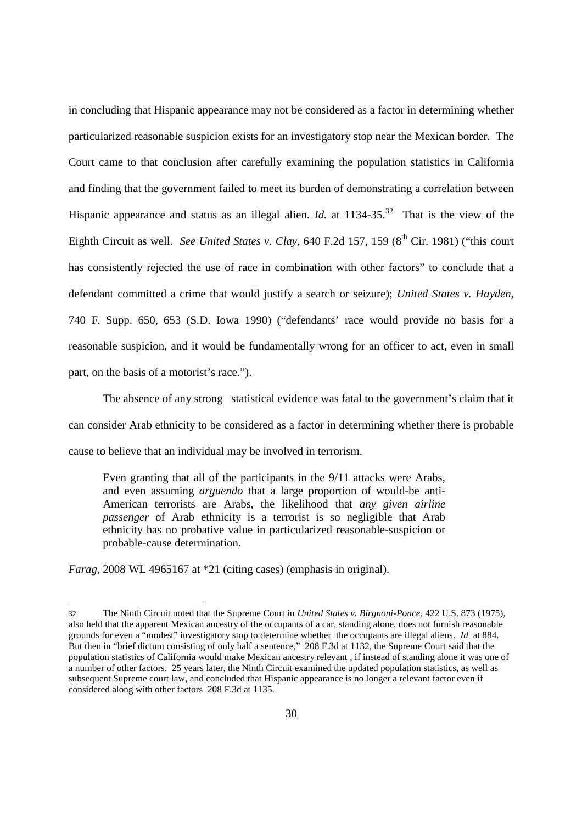in concluding that Hispanic appearance may not be considered as a factor in determining whether particularized reasonable suspicion exists for an investigatory stop near the Mexican border. The Court came to that conclusion after carefully examining the population statistics in California and finding that the government failed to meet its burden of demonstrating a correlation between Hispanic appearance and status as an illegal alien. *Id.* at  $1134-35$ <sup>32</sup> That is the view of the Eighth Circuit as well. *See United States v. Clay*, 640 F.2d 157, 159 (8<sup>th</sup> Cir. 1981) ("this court has consistently rejected the use of race in combination with other factors" to conclude that a defendant committed a crime that would justify a search or seizure); *United States v. Hayden,* 740 F. Supp. 650, 653 (S.D. Iowa 1990) ("defendants' race would provide no basis for a reasonable suspicion, and it would be fundamentally wrong for an officer to act, even in small part, on the basis of a motorist's race.").

The absence of any strong statistical evidence was fatal to the government's claim that it can consider Arab ethnicity to be considered as a factor in determining whether there is probable cause to believe that an individual may be involved in terrorism.

Even granting that all of the participants in the 9/11 attacks were Arabs, and even assuming *arguendo* that a large proportion of would-be anti-American terrorists are Arabs, the likelihood that *any given airline passenger* of Arab ethnicity is a terrorist is so negligible that Arab ethnicity has no probative value in particularized reasonable-suspicion or probable-cause determination.

*Farag*, 2008 WL 4965167 at \*21 (citing cases) (emphasis in original).

<sup>32</sup> The Ninth Circuit noted that the Supreme Court in *United States v. Birgnoni-Ponce,* 422 U.S. 873 (1975), also held that the apparent Mexican ancestry of the occupants of a car, standing alone, does not furnish reasonable grounds for even a "modest" investigatory stop to determine whether the occupants are illegal aliens. *Id* at 884. But then in "brief dictum consisting of only half a sentence," 208 F.3d at 1132, the Supreme Court said that the population statistics of California would make Mexican ancestry relevant , if instead of standing alone it was one of a number of other factors. 25 years later, the Ninth Circuit examined the updated population statistics, as well as subsequent Supreme court law, and concluded that Hispanic appearance is no longer a relevant factor even if considered along with other factors 208 F.3d at 1135.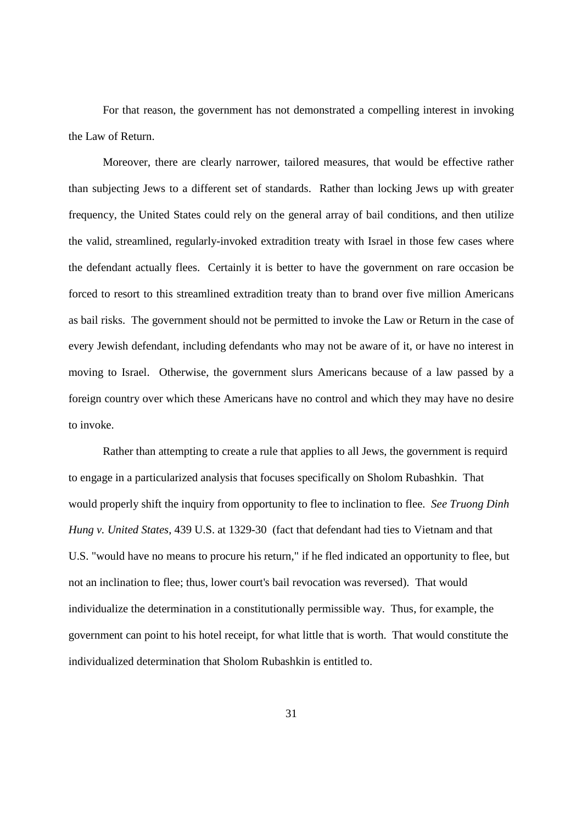For that reason, the government has not demonstrated a compelling interest in invoking the Law of Return.

Moreover, there are clearly narrower, tailored measures, that would be effective rather than subjecting Jews to a different set of standards. Rather than locking Jews up with greater frequency, the United States could rely on the general array of bail conditions, and then utilize the valid, streamlined, regularly-invoked extradition treaty with Israel in those few cases where the defendant actually flees. Certainly it is better to have the government on rare occasion be forced to resort to this streamlined extradition treaty than to brand over five million Americans as bail risks. The government should not be permitted to invoke the Law or Return in the case of every Jewish defendant, including defendants who may not be aware of it, or have no interest in moving to Israel. Otherwise, the government slurs Americans because of a law passed by a foreign country over which these Americans have no control and which they may have no desire to invoke.

Rather than attempting to create a rule that applies to all Jews, the government is requird to engage in a particularized analysis that focuses specifically on Sholom Rubashkin. That would properly shift the inquiry from opportunity to flee to inclination to flee. *See Truong Dinh Hung v. United States*, 439 U.S. at 1329-30 (fact that defendant had ties to Vietnam and that U.S. "would have no means to procure his return," if he fled indicated an opportunity to flee, but not an inclination to flee; thus, lower court's bail revocation was reversed). That would individualize the determination in a constitutionally permissible way. Thus, for example, the government can point to his hotel receipt, for what little that is worth. That would constitute the individualized determination that Sholom Rubashkin is entitled to.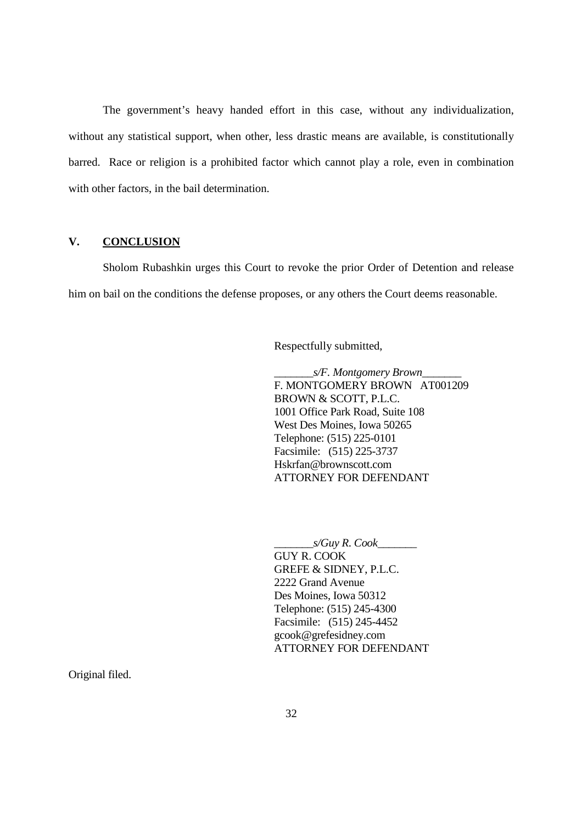The government's heavy handed effort in this case, without any individualization, without any statistical support, when other, less drastic means are available, is constitutionally barred. Race or religion is a prohibited factor which cannot play a role, even in combination with other factors, in the bail determination.

# **V. CONCLUSION**

Sholom Rubashkin urges this Court to revoke the prior Order of Detention and release him on bail on the conditions the defense proposes, or any others the Court deems reasonable.

Respectfully submitted,

\_\_\_\_\_\_\_*s/F. Montgomery Brown*\_\_\_\_\_\_\_ F. MONTGOMERY BROWN AT001209 BROWN & SCOTT, P.L.C. 1001 Office Park Road, Suite 108 West Des Moines, Iowa 50265 Telephone: (515) 225-0101 Facsimile: (515) 225-3737 Hskrfan@brownscott.com ATTORNEY FOR DEFENDANT

\_\_\_\_\_\_\_*s/Guy R. Cook*\_\_\_\_\_\_\_ GUY R. COOK GREFE & SIDNEY, P.L.C. 2222 Grand Avenue Des Moines, Iowa 50312 Telephone: (515) 245-4300 Facsimile: (515) 245-4452 gcook@grefesidney.com ATTORNEY FOR DEFENDANT

Original filed.